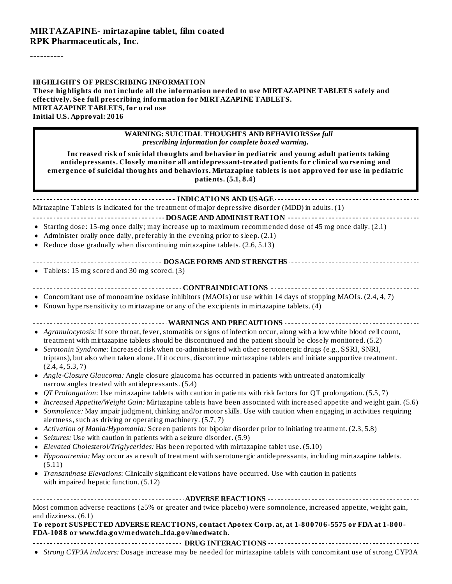----------

### **HIGHLIGHTS OF PRESCRIBING INFORMATION These highlights do not include all the information needed to use MIRTAZAPINE TABLETS safely and effectively. See full prescribing information for MIRTAZAPINE TABLETS. MIRTAZAPINE TABLETS, for oral use Initial U.S. Approval: 2016**

| <b>WARNING: SUICIDAL THOUGHTS AND BEHAVIORSSee full</b><br>prescribing information for complete boxed warning.<br>Increased risk of suicidal thoughts and behavior in pediatric and young adult patients taking<br>antidepressants. Closely monitor all antidepressant-treated patients for clinical worsening and<br>emergence of suicidal thoughts and behaviors. Mirtazapine tablets is not approved for use in pediatric<br>patients. (5.1, 8.4)                                                                                                                                                                                                                                                                                                                                                                                                                                                                                                                                                                                                                                                                                                                                                                                                                                                                                                                                                                                                                                                                                                                                                                                                                                                                       |
|----------------------------------------------------------------------------------------------------------------------------------------------------------------------------------------------------------------------------------------------------------------------------------------------------------------------------------------------------------------------------------------------------------------------------------------------------------------------------------------------------------------------------------------------------------------------------------------------------------------------------------------------------------------------------------------------------------------------------------------------------------------------------------------------------------------------------------------------------------------------------------------------------------------------------------------------------------------------------------------------------------------------------------------------------------------------------------------------------------------------------------------------------------------------------------------------------------------------------------------------------------------------------------------------------------------------------------------------------------------------------------------------------------------------------------------------------------------------------------------------------------------------------------------------------------------------------------------------------------------------------------------------------------------------------------------------------------------------------|
|                                                                                                                                                                                                                                                                                                                                                                                                                                                                                                                                                                                                                                                                                                                                                                                                                                                                                                                                                                                                                                                                                                                                                                                                                                                                                                                                                                                                                                                                                                                                                                                                                                                                                                                            |
| Mirtazapine Tablets is indicated for the treatment of major depressive disorder (MDD) in adults. (1)<br>---------------------- DOSAGE AND ADMINISTRATION ---------                                                                                                                                                                                                                                                                                                                                                                                                                                                                                                                                                                                                                                                                                                                                                                                                                                                                                                                                                                                                                                                                                                                                                                                                                                                                                                                                                                                                                                                                                                                                                         |
| • Starting dose: 15-mg once daily; may increase up to maximum recommended dose of 45 mg once daily. (2.1)<br>Administer orally once daily, preferably in the evening prior to sleep. (2.1)<br>Reduce dose gradually when discontinuing mirtazapine tablets. (2.6, 5.13)                                                                                                                                                                                                                                                                                                                                                                                                                                                                                                                                                                                                                                                                                                                                                                                                                                                                                                                                                                                                                                                                                                                                                                                                                                                                                                                                                                                                                                                    |
| -------------------------- DOSAGE FORMS AND STRENGTHS ------------------------------                                                                                                                                                                                                                                                                                                                                                                                                                                                                                                                                                                                                                                                                                                                                                                                                                                                                                                                                                                                                                                                                                                                                                                                                                                                                                                                                                                                                                                                                                                                                                                                                                                       |
| • Tablets: 15 mg scored and 30 mg scored. (3)                                                                                                                                                                                                                                                                                                                                                                                                                                                                                                                                                                                                                                                                                                                                                                                                                                                                                                                                                                                                                                                                                                                                                                                                                                                                                                                                                                                                                                                                                                                                                                                                                                                                              |
|                                                                                                                                                                                                                                                                                                                                                                                                                                                                                                                                                                                                                                                                                                                                                                                                                                                                                                                                                                                                                                                                                                                                                                                                                                                                                                                                                                                                                                                                                                                                                                                                                                                                                                                            |
| • Concomitant use of monoamine oxidase inhibitors (MAOIs) or use within 14 days of stopping MAOIs. (2.4, 4, 7)                                                                                                                                                                                                                                                                                                                                                                                                                                                                                                                                                                                                                                                                                                                                                                                                                                                                                                                                                                                                                                                                                                                                                                                                                                                                                                                                                                                                                                                                                                                                                                                                             |
| • Known hypersensitivity to mirtazapine or any of the excipients in mirtazapine tablets. (4)                                                                                                                                                                                                                                                                                                                                                                                                                                                                                                                                                                                                                                                                                                                                                                                                                                                                                                                                                                                                                                                                                                                                                                                                                                                                                                                                                                                                                                                                                                                                                                                                                               |
| ------------------------- WARNINGS AND PRECAUTIONS -------------------                                                                                                                                                                                                                                                                                                                                                                                                                                                                                                                                                                                                                                                                                                                                                                                                                                                                                                                                                                                                                                                                                                                                                                                                                                                                                                                                                                                                                                                                                                                                                                                                                                                     |
| • Agranulocytosis: If sore throat, fever, stomatitis or signs of infection occur, along with a low white blood cell count,<br>treatment with mirtazapine tablets should be discontinued and the patient should be closely monitored. (5.2)<br>Serotonin Syndrome: Increased risk when co-administered with other serotonergic drugs (e.g., SSRI, SNRI,<br>٠<br>triptans), but also when taken alone. If it occurs, discontinue mirtazapine tablets and initiate supportive treatment.<br>(2.4, 4, 5.3, 7)<br>Angle-Closure Glaucoma: Angle closure glaucoma has occurred in patients with untreated anatomically<br>$\bullet$<br>narrow angles treated with antidepressants. (5.4)<br>QT Prolongation: Use mirtazapine tablets with caution in patients with risk factors for QT prolongation. (5.5,7)<br>٠<br>Increased Appetite/Weight Gain: Mirtazapine tablets have been associated with increased appetite and weight gain. (5.6)<br>Somnolence: May impair judgment, thinking and/or motor skills. Use with caution when engaging in activities requiring<br>٠<br>alertness, such as driving or operating machinery. (5.7, 7)<br>Activation of Mania/Hypomania: Screen patients for bipolar disorder prior to initiating treatment. (2.3, 5.8)<br>٠<br>Seizures: Use with caution in patients with a seizure disorder. (5.9)<br>Elevated Cholesterol/Triglycerides: Has been reported with mirtazapine tablet use. (5.10)<br>Hyponatremia: May occur as a result of treatment with serotonergic antidepressants, including mirtazapine tablets.<br>٠<br>(5.11)<br>• Transaminase Elevations: Clinically significant elevations have occurred. Use with caution in patients<br>with impaired hepatic function. (5.12) |
| Most common adverse reactions (≥5% or greater and twice placebo) were somnolence, increased appetite, weight gain,                                                                                                                                                                                                                                                                                                                                                                                                                                                                                                                                                                                                                                                                                                                                                                                                                                                                                                                                                                                                                                                                                                                                                                                                                                                                                                                                                                                                                                                                                                                                                                                                         |
| and dizziness. (6.1)                                                                                                                                                                                                                                                                                                                                                                                                                                                                                                                                                                                                                                                                                                                                                                                                                                                                                                                                                                                                                                                                                                                                                                                                                                                                                                                                                                                                                                                                                                                                                                                                                                                                                                       |
| To report SUSPECTED ADVERSE REACTIONS, contact Apotex Corp. at, at 1-800706-5575 or FDA at 1-800-<br>FDA-1088 or www.fda.gov/medwatchfda.gov/medwatch.                                                                                                                                                                                                                                                                                                                                                                                                                                                                                                                                                                                                                                                                                                                                                                                                                                                                                                                                                                                                                                                                                                                                                                                                                                                                                                                                                                                                                                                                                                                                                                     |
|                                                                                                                                                                                                                                                                                                                                                                                                                                                                                                                                                                                                                                                                                                                                                                                                                                                                                                                                                                                                                                                                                                                                                                                                                                                                                                                                                                                                                                                                                                                                                                                                                                                                                                                            |

*Strong CYP3A inducers:* Dosage increase may be needed for mirtazapine tablets with concomitant use of strong CYP3A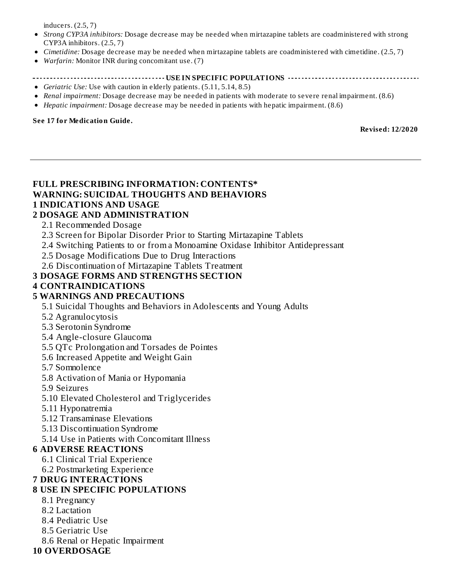inducers. (2.5, 7)

- *Strong CYP3A inhibitors:* Dosage decrease may be needed when mirtazapine tablets are coadministered with strong CYP3A inhibitors. (2.5, 7)
- *Cimetidine:* Dosage decrease may be needed when mirtazapine tablets are coadministered with cimetidine. (2.5, 7)
- *Warfarin:* Monitor INR during concomitant use. (7)

#### **USE IN SPECIFIC POPULATIONS**

- *Geriatric Use:* Use with caution in elderly patients. (5.11, 5.14, 8.5)
- *Renal impairment:* Dosage decrease may be needed in patients with moderate to severe renal impairment. (8.6)
- *Hepatic impairment:* Dosage decrease may be needed in patients with hepatic impairment. (8.6)

#### **See 17 for Medication Guide.**

**Revised: 12/2020**

#### **FULL PRESCRIBING INFORMATION: CONTENTS\* WARNING: SUICIDAL THOUGHTS AND BEHAVIORS 1 INDICATIONS AND USAGE**

### **2 DOSAGE AND ADMINISTRATION**

- 2.1 Recommended Dosage
- 2.3 Screen for Bipolar Disorder Prior to Starting Mirtazapine Tablets
- 2.4 Switching Patients to or from a Monoamine Oxidase Inhibitor Antidepressant
- 2.5 Dosage Modifications Due to Drug Interactions
- 2.6 Discontinuation of Mirtazapine Tablets Treatment

#### **3 DOSAGE FORMS AND STRENGTHS SECTION**

#### **4 CONTRAINDICATIONS**

#### **5 WARNINGS AND PRECAUTIONS**

- 5.1 Suicidal Thoughts and Behaviors in Adolescents and Young Adults
- 5.2 Agranulocytosis
- 5.3 Serotonin Syndrome
- 5.4 Angle-closure Glaucoma
- 5.5 QTc Prolongation and Torsades de Pointes
- 5.6 Increased Appetite and Weight Gain
- 5.7 Somnolence
- 5.8 Activation of Mania or Hypomania
- 5.9 Seizures
- 5.10 Elevated Cholesterol and Triglycerides
- 5.11 Hyponatremia
- 5.12 Transaminase Elevations
- 5.13 Discontinuation Syndrome
- 5.14 Use in Patients with Concomitant Illness

#### **6 ADVERSE REACTIONS**

- 6.1 Clinical Trial Experience
- 6.2 Postmarketing Experience

#### **7 DRUG INTERACTIONS**

#### **8 USE IN SPECIFIC POPULATIONS**

- 8.1 Pregnancy
- 8.2 Lactation
- 8.4 Pediatric Use
- 8.5 Geriatric Use
- 8.6 Renal or Hepatic Impairment

#### **10 OVERDOSAGE**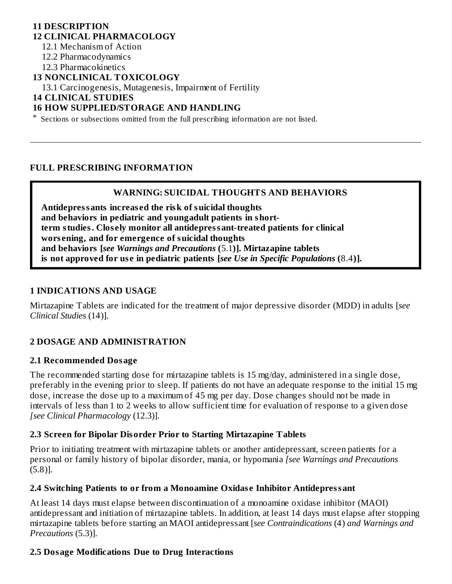#### **11 DESCRIPTION 12 CLINICAL PHARMACOLOGY**

12.1 Mechanism of Action

12.2 Pharmacodynamics

12.3 Pharmacokinetics

**13 NONCLINICAL TOXICOLOGY**

13.1 Carcinogenesis, Mutagenesis, Impairment of Fertility

**14 CLINICAL STUDIES**

### **16 HOW SUPPLIED/STORAGE AND HANDLING**

\* Sections or subsections omitted from the full prescribing information are not listed.

#### **FULL PRESCRIBING INFORMATION**

#### **WARNING: SUICIDAL THOUGHTS AND BEHAVIORS**

**Antidepressants increas ed the risk of suicidal thoughts and behaviors in pediatric and youngadult patients in shortterm studies. Clos ely monitor all antidepressant-treated patients for clinical wors ening, and for emergence of suicidal thoughts and behaviors [***see Warnings and Precautions* **(**5.1**)]. Mirtazapine tablets is not approved for us e in pediatric patients [***see Use in Specific Populations* **(**8.4**)].**

#### **1 INDICATIONS AND USAGE**

Mirtazapine Tablets are indicated for the treatment of major depressive disorder (MDD) in adults [*see Clinical Studies* (14)].

### **2 DOSAGE AND ADMINISTRATION**

#### **2.1 Recommended Dosage**

The recommended starting dose for mirtazapine tablets is 15 mg/day, administered in a single dose, preferably in the evening prior to sleep. If patients do not have an adequate response to the initial 15 mg dose, increase the dose up to a maximum of 45 mg per day. Dose changes should not be made in intervals of less than 1 to 2 weeks to allow sufficient time for evaluation of response to a given dose *[see Clinical Pharmacology* (12.3)].

#### **2.3 Screen for Bipolar Disorder Prior to Starting Mirtazapine Tablets**

Prior to initiating treatment with mirtazapine tablets or another antidepressant, screen patients for a personal or family history of bipolar disorder, mania, or hypomania *[see Warnings and Precautions* (5.8)].

#### **2.4 Switching Patients to or from a Monoamine Oxidas e Inhibitor Antidepressant**

At least 14 days must elapse between discontinuation of a monoamine oxidase inhibitor (MAOI) antidepressant and initiation of mirtazapine tablets. In addition, at least 14 days must elapse after stopping mirtazapine tablets before starting an MAOI antidepressant [*see Contraindications* (4) *and Warnings and Precautions* (5.3)].

#### **2.5 Dosage Modifications Due to Drug Interactions**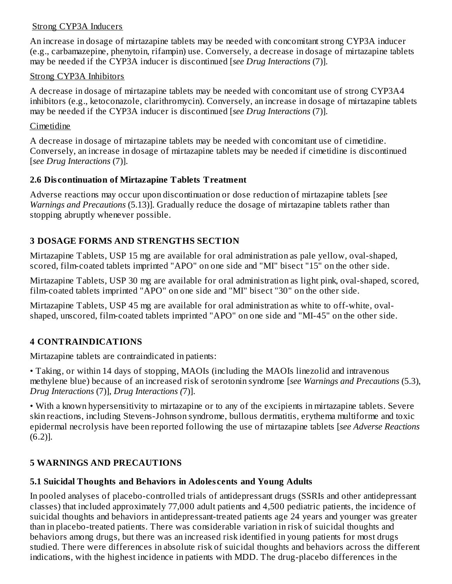### Strong CYP3A Inducers

An increase in dosage of mirtazapine tablets may be needed with concomitant strong CYP3A inducer (e.g., carbamazepine, phenytoin, rifampin) use. Conversely, a decrease in dosage of mirtazapine tablets may be needed if the CYP3A inducer is discontinued [*see Drug Interactions* (7)].

#### Strong CYP3A Inhibitors

A decrease in dosage of mirtazapine tablets may be needed with concomitant use of strong CYP3A4 inhibitors (e.g., ketoconazole, clarithromycin). Conversely, an increase in dosage of mirtazapine tablets may be needed if the CYP3A inducer is discontinued [*see Drug Interactions* (7)].

### Cimetidine

A decrease in dosage of mirtazapine tablets may be needed with concomitant use of cimetidine. Conversely, an increase in dosage of mirtazapine tablets may be needed if cimetidine is discontinued [*see Drug Interactions* (7)].

### **2.6 Dis continuation of Mirtazapine Tablets Treatment**

Adverse reactions may occur upon discontinuation or dose reduction of mirtazapine tablets [*see Warnings and Precautions* (5.13)]. Gradually reduce the dosage of mirtazapine tablets rather than stopping abruptly whenever possible.

## **3 DOSAGE FORMS AND STRENGTHS SECTION**

Mirtazapine Tablets, USP 15 mg are available for oral administration as pale yellow, oval-shaped, scored, film-coated tablets imprinted "APO" on one side and "MI" bisect "15" on the other side.

Mirtazapine Tablets, USP 30 mg are available for oral administration as light pink, oval-shaped, scored, film-coated tablets imprinted "APO" on one side and "MI" bisect "30" on the other side.

Mirtazapine Tablets, USP 45 mg are available for oral administration as white to off-white, ovalshaped, unscored, film-coated tablets imprinted "APO" on one side and "MI-45" on the other side.

## **4 CONTRAINDICATIONS**

Mirtazapine tablets are contraindicated in patients:

• Taking, or within 14 days of stopping, MAOIs (including the MAOIs linezolid and intravenous methylene blue) because of an increased risk of serotonin syndrome [*see Warnings and Precautions* (5.3), *Drug Interactions* (7)], *Drug Interactions (*7)].

• With a known hypersensitivity to mirtazapine or to any of the excipients in mirtazapine tablets. Severe skin reactions, including Stevens-Johnson syndrome, bullous dermatitis, erythema multiforme and toxic epidermal necrolysis have been reported following the use of mirtazapine tablets [*see Adverse Reactions* (6.2)].

## **5 WARNINGS AND PRECAUTIONS**

## **5.1 Suicidal Thoughts and Behaviors in Adoles cents and Young Adults**

In pooled analyses of placebo-controlled trials of antidepressant drugs (SSRIs and other antidepressant classes) that included approximately 77,000 adult patients and 4,500 pediatric patients, the incidence of suicidal thoughts and behaviors in antidepressant-treated patients age 24 years and younger was greater than in placebo-treated patients. There was considerable variation in risk of suicidal thoughts and behaviors among drugs, but there was an increased risk identified in young patients for most drugs studied. There were differences in absolute risk of suicidal thoughts and behaviors across the different indications, with the highest incidence in patients with MDD. The drug-placebo differences in the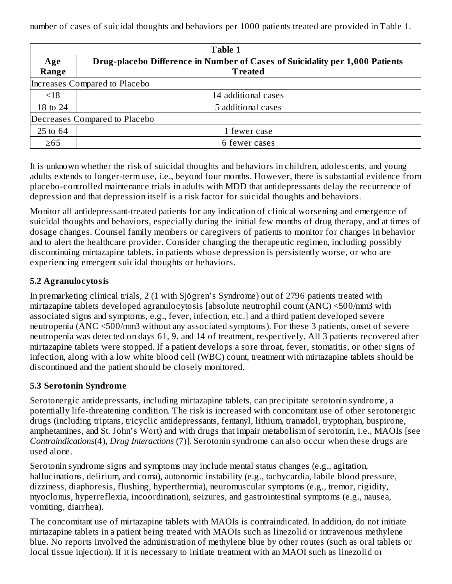number of cases of suicidal thoughts and behaviors per 1000 patients treated are provided in Table 1.

| Table 1                       |                                                                              |  |  |  |  |
|-------------------------------|------------------------------------------------------------------------------|--|--|--|--|
| Age                           | Drug-placebo Difference in Number of Cases of Suicidality per 1,000 Patients |  |  |  |  |
| Range                         | <b>Treated</b>                                                               |  |  |  |  |
| Increases Compared to Placebo |                                                                              |  |  |  |  |
| < 18                          | 14 additional cases                                                          |  |  |  |  |
| 18 to 24                      | 5 additional cases                                                           |  |  |  |  |
| Decreases Compared to Placebo |                                                                              |  |  |  |  |
| 25 to 64                      | 1 fewer case                                                                 |  |  |  |  |
| $\geq 65$                     | 6 fewer cases                                                                |  |  |  |  |

It is unknown whether the risk of suicidal thoughts and behaviors in children, adolescents, and young adults extends to longer-term use, i.e., beyond four months. However, there is substantial evidence from placebo-controlled maintenance trials in adults with MDD that antidepressants delay the recurrence of depression and that depression itself is a risk factor for suicidal thoughts and behaviors.

Monitor all antidepressant-treated patients for any indication of clinical worsening and emergence of suicidal thoughts and behaviors, especially during the initial few months of drug therapy, and at times of dosage changes. Counsel family members or caregivers of patients to monitor for changes in behavior and to alert the healthcare provider. Consider changing the therapeutic regimen, including possibly discontinuing mirtazapine tablets, in patients whose depression is persistently worse, or who are experiencing emergent suicidal thoughts or behaviors.

## **5.2 Agranulocytosis**

In premarketing clinical trials, 2 (1 with Sjögren's Syndrome) out of 2796 patients treated with mirtazapine tablets developed agranulocytosis [absolute neutrophil count (ANC) <500/mm3 with associated signs and symptoms, e.g., fever, infection, etc.] and a third patient developed severe neutropenia (ANC <500/mm3 without any associated symptoms). For these 3 patients, onset of severe neutropenia was detected on days 61, 9, and 14 of treatment, respectively. All 3 patients recovered after mirtazapine tablets were stopped. If a patient develops a sore throat, fever, stomatitis, or other signs of infection, along with a low white blood cell (WBC) count, treatment with mirtazapine tablets should be discontinued and the patient should be closely monitored.

### **5.3 Serotonin Syndrome**

Serotonergic antidepressants, including mirtazapine tablets, can precipitate serotonin syndrome, a potentially life-threatening condition. The risk is increased with concomitant use of other serotonergic drugs (including triptans, tricyclic antidepressants, fentanyl, lithium, tramadol, tryptophan, buspirone, amphetamines, and St. John's Wort) and with drugs that impair metabolism of serotonin, i.e., MAOIs [see *Contraindications*(4), *Drug Interactions* (7)]. Serotonin syndrome can also occur when these drugs are used alone.

Serotonin syndrome signs and symptoms may include mental status changes (e.g., agitation, hallucinations, delirium, and coma), autonomic instability (e.g., tachycardia, labile blood pressure, dizziness, diaphoresis, flushing, hyperthermia), neuromuscular symptoms (e.g., tremor, rigidity, myoclonus, hyperreflexia, incoordination), seizures, and gastrointestinal symptoms (e.g., nausea, vomiting, diarrhea).

The concomitant use of mirtazapine tablets with MAOIs is contraindicated. In addition, do not initiate mirtazapine tablets in a patient being treated with MAOIs such as linezolid or intravenous methylene blue. No reports involved the administration of methylene blue by other routes (such as oral tablets or local tissue injection). If it is necessary to initiate treatment with an MAOI such as linezolid or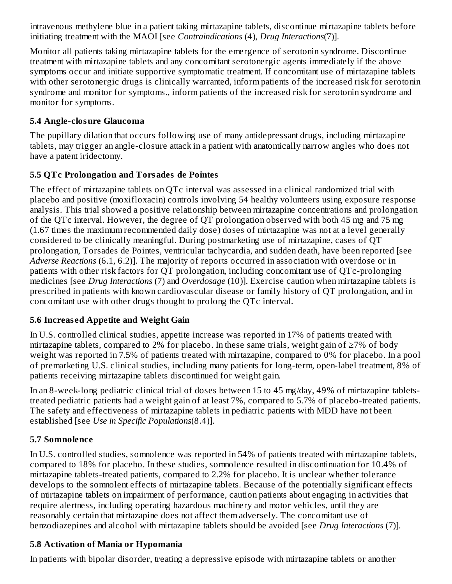intravenous methylene blue in a patient taking mirtazapine tablets, discontinue mirtazapine tablets before initiating treatment with the MAOI [see *Contraindications* (4), *Drug Interactions*(7)].

Monitor all patients taking mirtazapine tablets for the emergence of serotonin syndrome. Discontinue treatment with mirtazapine tablets and any concomitant serotonergic agents immediately if the above symptoms occur and initiate supportive symptomatic treatment. If concomitant use of mirtazapine tablets with other serotonergic drugs is clinically warranted, inform patients of the increased risk for serotonin syndrome and monitor for symptoms., inform patients of the increased risk for serotonin syndrome and monitor for symptoms.

### **5.4 Angle-closure Glaucoma**

The pupillary dilation that occurs following use of many antidepressant drugs, including mirtazapine tablets, may trigger an angle-closure attack in a patient with anatomically narrow angles who does not have a patent iridectomy.

### **5.5 QTc Prolongation and Torsades de Pointes**

The effect of mirtazapine tablets on QTc interval was assessed in a clinical randomized trial with placebo and positive (moxifloxacin) controls involving 54 healthy volunteers using exposure response analysis. This trial showed a positive relationship between mirtazapine concentrations and prolongation of the QTc interval. However, the degree of QT prolongation observed with both 45 mg and 75 mg (1.67 times the maximum recommended daily dose) doses of mirtazapine was not at a level generally considered to be clinically meaningful. During postmarketing use of mirtazapine, cases of QT prolongation, Torsades de Pointes, ventricular tachycardia, and sudden death, have been reported [see *Adverse Reactions* (6.1, 6.2)]. The majority of reports occurred in association with overdose or in patients with other risk factors for QT prolongation, including concomitant use of QTc-prolonging medicines [see *Drug Interactions* (7) and *Overdosage* (10)]. Exercise caution when mirtazapine tablets is prescribed in patients with known cardiovascular disease or family history of QT prolongation, and in concomitant use with other drugs thought to prolong the QTc interval.

### **5.6 Increas ed Appetite and Weight Gain**

In U.S. controlled clinical studies, appetite increase was reported in 17% of patients treated with mirtazapine tablets, compared to 2% for placebo. In these same trials, weight gain of ≥7% of body weight was reported in 7.5% of patients treated with mirtazapine, compared to 0% for placebo. In a pool of premarketing U.S. clinical studies, including many patients for long-term, open-label treatment, 8% of patients receiving mirtazapine tablets discontinued for weight gain.

In an 8-week-long pediatric clinical trial of doses between 15 to 45 mg/day, 49% of mirtazapine tabletstreated pediatric patients had a weight gain of at least 7%, compared to 5.7% of placebo-treated patients. The safety and effectiveness of mirtazapine tablets in pediatric patients with MDD have not been established [see *Use in Specific Populations*(8.4)].

### **5.7 Somnolence**

In U.S. controlled studies, somnolence was reported in 54% of patients treated with mirtazapine tablets, compared to 18% for placebo. In these studies, somnolence resulted in discontinuation for 10.4% of mirtazapine tablets-treated patients, compared to 2.2% for placebo. It is unclear whether tolerance develops to the somnolent effects of mirtazapine tablets. Because of the potentially significant effects of mirtazapine tablets on impairment of performance, caution patients about engaging in activities that require alertness, including operating hazardous machinery and motor vehicles, until they are reasonably certain that mirtazapine does not affect them adversely. The concomitant use of benzodiazepines and alcohol with mirtazapine tablets should be avoided [see *Drug Interactions* (7)].

### **5.8 Activation of Mania or Hypomania**

In patients with bipolar disorder, treating a depressive episode with mirtazapine tablets or another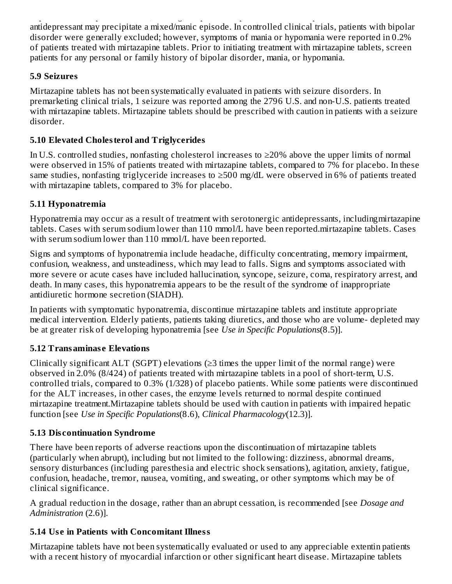In patients with bipolar disorder, treating a depressive episode with mirtazapine tablets or another antidepressant may precipitate a mixed/manic episode. In controlled clinical trials, patients with bipolar disorder were generally excluded; however, symptoms of mania or hypomania were reported in 0.2% of patients treated with mirtazapine tablets. Prior to initiating treatment with mirtazapine tablets, screen patients for any personal or family history of bipolar disorder, mania, or hypomania.

## **5.9 Seizures**

Mirtazapine tablets has not been systematically evaluated in patients with seizure disorders. In premarketing clinical trials, 1 seizure was reported among the 2796 U.S. and non-U.S. patients treated with mirtazapine tablets. Mirtazapine tablets should be prescribed with caution in patients with a seizure disorder.

## **5.10 Elevated Cholesterol and Triglycerides**

In U.S. controlled studies, nonfasting cholesterol increases to ≥20% above the upper limits of normal were observed in 15% of patients treated with mirtazapine tablets, compared to 7% for placebo. In these same studies, nonfasting triglyceride increases to ≥500 mg/dL were observed in 6% of patients treated with mirtazapine tablets, compared to 3% for placebo.

## **5.11 Hyponatremia**

Hyponatremia may occur as a result of treatment with serotonergic antidepressants, includingmirtazapine tablets. Cases with serum sodium lower than 110 mmol/L have been reported.mirtazapine tablets. Cases with serum sodium lower than 110 mmol/L have been reported.

Signs and symptoms of hyponatremia include headache, difficulty concentrating, memory impairment, confusion, weakness, and unsteadiness, which may lead to falls. Signs and symptoms associated with more severe or acute cases have included hallucination, syncope, seizure, coma, respiratory arrest, and death. In many cases, this hyponatremia appears to be the result of the syndrome of inappropriate antidiuretic hormone secretion (SIADH).

In patients with symptomatic hyponatremia, discontinue mirtazapine tablets and institute appropriate medical intervention. Elderly patients, patients taking diuretics, and those who are volume- depleted may be at greater risk of developing hyponatremia [see *Use in Specific Populations*(8.5)].

## **5.12 Transaminas e Elevations**

Clinically significant ALT (SGPT) elevations ( $\geq$ 3 times the upper limit of the normal range) were observed in 2.0% (8/424) of patients treated with mirtazapine tablets in a pool of short-term, U.S. controlled trials, compared to 0.3% (1/328) of placebo patients. While some patients were discontinued for the ALT increases, in other cases, the enzyme levels returned to normal despite continued mirtazapine treatment.Mirtazapine tablets should be used with caution in patients with impaired hepatic function [see *Use in Specific Populations*(8.6), *Clinical Pharmacology*(12.3)].

## **5.13 Dis continuation Syndrome**

There have been reports of adverse reactions upon the discontinuation of mirtazapine tablets (particularly when abrupt), including but not limited to the following: dizziness, abnormal dreams, sensory disturbances (including paresthesia and electric shock sensations), agitation, anxiety, fatigue, confusion, headache, tremor, nausea, vomiting, and sweating, or other symptoms which may be of clinical significance.

A gradual reduction in the dosage, rather than an abrupt cessation, is recommended [see *Dosage and Administration* (2.6)].

## **5.14 Us e in Patients with Concomitant Illness**

Mirtazapine tablets have not been systematically evaluated or used to any appreciable extentin patients with a recent history of myocardial infarction or other significant heart disease. Mirtazapine tablets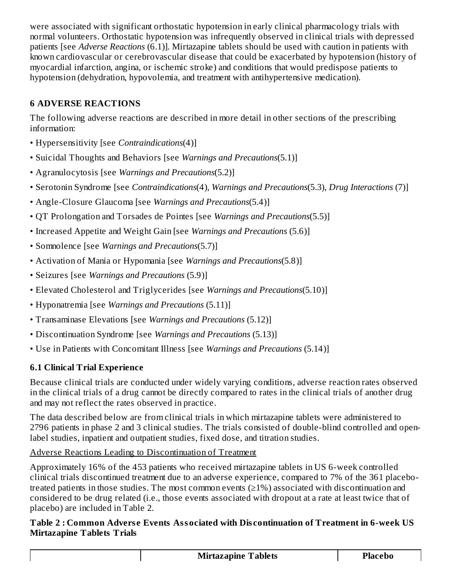were associated with significant orthostatic hypotension in early clinical pharmacology trials with normal volunteers. Orthostatic hypotension was infrequently observed in clinical trials with depressed patients [see *Adverse Reactions* (6.1)]. Mirtazapine tablets should be used with caution in patients with known cardiovascular or cerebrovascular disease that could be exacerbated by hypotension (history of myocardial infarction, angina, or ischemic stroke) and conditions that would predispose patients to hypotension (dehydration, hypovolemia, and treatment with antihypertensive medication).

## **6 ADVERSE REACTIONS**

The following adverse reactions are described in more detail in other sections of the prescribing information:

- Hypersensitivity [see *Contraindications*(4)]
- Suicidal Thoughts and Behaviors [see *Warnings and Precautions*(5.1)]
- Agranulocytosis [see *Warnings and Precautions*(5.2)]
- Serotonin Syndrome [see *Contraindications*(4), *Warnings and Precautions*(5.3), *Drug Interactions* (7)]
- Angle-Closure Glaucoma [see *Warnings and Precautions*(5.4)]
- QT Prolongation and Torsades de Pointes [see *Warnings and Precautions*(5.5)]
- Increased Appetite and Weight Gain [see *Warnings and Precautions* (5.6)]
- Somnolence [see *Warnings and Precautions*(5.7)]
- Activation of Mania or Hypomania [see *Warnings and Precautions*(5.8)]
- Seizures [see *Warnings and Precautions* (5.9)]
- Elevated Cholesterol and Triglycerides [see *Warnings and Precautions*(5.10)]
- Hyponatremia [see *Warnings and Precautions* (5.11)]
- Transaminase Elevations [see *Warnings and Precautions* (5.12)]
- Discontinuation Syndrome [see *Warnings and Precautions* (5.13)]
- Use in Patients with Concomitant Illness [see *Warnings and Precautions* (5.14)]

# **6.1 Clinical Trial Experience**

Because clinical trials are conducted under widely varying conditions, adverse reaction rates observed in the clinical trials of a drug cannot be directly compared to rates in the clinical trials of another drug and may not reflect the rates observed in practice.

The data described below are from clinical trials in which mirtazapine tablets were administered to 2796 patients in phase 2 and 3 clinical studies. The trials consisted of double-blind controlled and openlabel studies, inpatient and outpatient studies, fixed dose, and titration studies.

# Adverse Reactions Leading to Discontinuation of Treatment

Approximately 16% of the 453 patients who received mirtazapine tablets in US 6-week controlled clinical trials discontinued treatment due to an adverse experience, compared to 7% of the 361 placebotreated patients in those studies. The most common events (≥1%) associated with discontinuation and considered to be drug related (i.e., those events associated with dropout at a rate at least twice that of placebo) are included in Table 2.

### **Table 2 : Common Advers e Events Associated with Dis continuation of Treatment in 6-week US Mirtazapine Tablets Trials**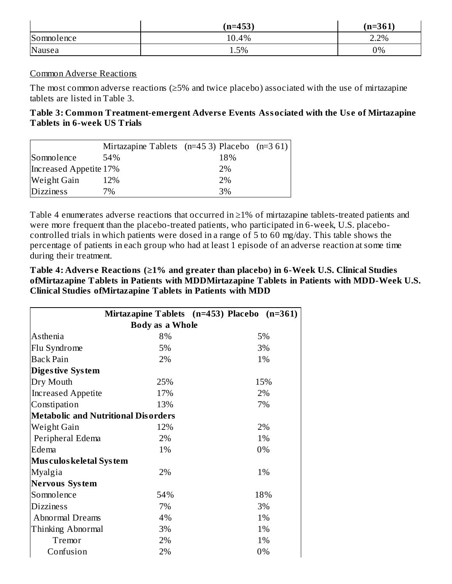|            | $(n=453)$ | $(n=361)$ |
|------------|-----------|-----------|
| Somnolence | 10.4%     | 2.2%      |
| Nausea     | 1.5%      | 0%        |

#### Common Adverse Reactions

The most common adverse reactions (≥5% and twice placebo) associated with the use of mirtazapine tablets are listed in Table 3.

#### **Table 3: Common Treatment-emergent Advers e Events Associated with the Us e of Mirtazapine Tablets in 6-week US Trials**

|                        | Mirtazapine Tablets $(n=453)$ Placebo $(n=361)$ |     |  |
|------------------------|-------------------------------------------------|-----|--|
| Somnolence             | 54%                                             | 18% |  |
| Increased Appetite 17% |                                                 | 2%  |  |
| Weight Gain            | 12%                                             | 2%  |  |
| <b>Dizziness</b>       | 7%                                              | 3%  |  |

Table 4 enumerates adverse reactions that occurred in ≥1% of mirtazapine tablets-treated patients and were more frequent than the placebo-treated patients, who participated in 6-week, U.S. placebocontrolled trials in which patients were dosed in a range of 5 to 60 mg/day. This table shows the percentage of patients in each group who had at least 1 episode of an adverse reaction at some time during their treatment.

**Table 4: Advers e Reactions (≥1% and greater than placebo) in 6-Week U.S. Clinical Studies ofMirtazapine Tablets in Patients with MDDMirtazapine Tablets in Patients with MDD-Week U.S. Clinical Studies ofMirtazapine Tablets in Patients with MDD**

|                                            |                        | Mirtazapine Tablets $(n=453)$ Placebo $(n=361)$ |  |  |  |  |  |
|--------------------------------------------|------------------------|-------------------------------------------------|--|--|--|--|--|
|                                            | <b>Body as a Whole</b> |                                                 |  |  |  |  |  |
| Asthenia                                   | 5%<br>8%               |                                                 |  |  |  |  |  |
| Flu Syndrome                               | 5%                     | 3%                                              |  |  |  |  |  |
| <b>Back Pain</b>                           | 2%                     | 1%                                              |  |  |  |  |  |
| Diges tive System                          |                        |                                                 |  |  |  |  |  |
| Dry Mouth                                  | 25%                    | 15%                                             |  |  |  |  |  |
| <b>Increased Appetite</b>                  | 17%                    | 2%                                              |  |  |  |  |  |
| Constipation                               | 13%                    | 7%                                              |  |  |  |  |  |
| <b>Metabolic and Nutritional Disorders</b> |                        |                                                 |  |  |  |  |  |
| Weight Gain                                | 12%                    | 2%                                              |  |  |  |  |  |
| Peripheral Edema                           | 2%                     | 1%                                              |  |  |  |  |  |
| Edema                                      | $1\%$                  | 0%                                              |  |  |  |  |  |
| <b>Mus culos keletal System</b>            |                        |                                                 |  |  |  |  |  |
| <b>Myalgia</b>                             | 2%                     | 1%                                              |  |  |  |  |  |
| <b>Nervous System</b>                      |                        |                                                 |  |  |  |  |  |
| Somnolence                                 | 54%                    | 18%                                             |  |  |  |  |  |
| <b>Dizziness</b>                           | 7%                     | 3%                                              |  |  |  |  |  |
| Abnormal Dreams                            | 4%                     | 1%                                              |  |  |  |  |  |
| Thinking Abnormal                          | 3%                     | 1%                                              |  |  |  |  |  |
| Tremor                                     | 2%                     | 1%                                              |  |  |  |  |  |
| Confusion                                  | 2%                     | 0%                                              |  |  |  |  |  |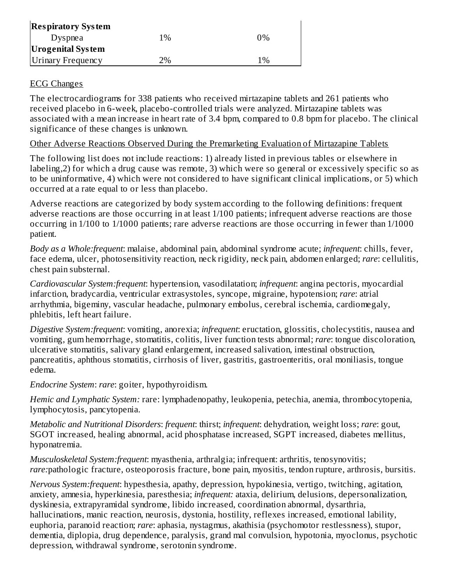| <b>Respiratory System</b> |       |       |
|---------------------------|-------|-------|
| Dyspnea                   | $1\%$ | $0\%$ |
| <b>Urogenital System</b>  |       |       |
| Urinary Frequency         | 2%    | $1\%$ |

### ECG Changes

The electrocardiograms for 338 patients who received mirtazapine tablets and 261 patients who received placebo in 6-week, placebo-controlled trials were analyzed. Mirtazapine tablets was associated with a mean increase in heart rate of 3.4 bpm, compared to 0.8 bpm for placebo. The clinical significance of these changes is unknown.

### Other Adverse Reactions Observed During the Premarketing Evaluation of Mirtazapine Tablets

The following list does not include reactions: 1) already listed in previous tables or elsewhere in labeling,2) for which a drug cause was remote, 3) which were so general or excessively specific so as to be uninformative, 4) which were not considered to have significant clinical implications, or 5) which occurred at a rate equal to or less than placebo.

Adverse reactions are categorized by body system according to the following definitions: frequent adverse reactions are those occurring in at least 1/100 patients; infrequent adverse reactions are those occurring in 1/100 to 1/1000 patients; rare adverse reactions are those occurring in fewer than 1/1000 patient.

*Body as a Whole:frequent*: malaise, abdominal pain, abdominal syndrome acute; *infrequent*: chills, fever, face edema, ulcer, photosensitivity reaction, neck rigidity, neck pain, abdomen enlarged; *rare*: cellulitis, chest pain substernal.

*Cardiovascular System:frequent*: hypertension, vasodilatation; *infrequent*: angina pectoris, myocardial infarction, bradycardia, ventricular extrasystoles, syncope, migraine, hypotension; *rare*: atrial arrhythmia, bigeminy, vascular headache, pulmonary embolus, cerebral ischemia, cardiomegaly, phlebitis, left heart failure.

*Digestive System:frequent*: vomiting, anorexia; *infrequent*: eructation, glossitis, cholecystitis, nausea and vomiting, gum hemorrhage, stomatitis, colitis, liver function tests abnormal; *rare*: tongue discoloration, ulcerative stomatitis, salivary gland enlargement, increased salivation, intestinal obstruction, pancreatitis, aphthous stomatitis, cirrhosis of liver, gastritis, gastroenteritis, oral moniliasis, tongue edema.

*Endocrine System*: *rare*: goiter, hypothyroidism.

*Hemic and Lymphatic System:* rare: lymphadenopathy, leukopenia, petechia, anemia, thrombocytopenia, lymphocytosis, pancytopenia.

*Metabolic and Nutritional Disorders*: *frequent*: thirst; *infrequent*: dehydration, weight loss; *rare*: gout, SGOT increased, healing abnormal, acid phosphatase increased, SGPT increased, diabetes mellitus, hyponatremia.

*Musculoskeletal System:frequent*: myasthenia, arthralgia; infrequent: arthritis, tenosynovitis; *rare:*pathologic fracture, osteoporosis fracture, bone pain, myositis, tendon rupture, arthrosis, bursitis.

*Nervous System:frequent*: hypesthesia, apathy, depression, hypokinesia, vertigo, twitching, agitation, anxiety, amnesia, hyperkinesia, paresthesia; *infrequent:* ataxia, delirium, delusions, depersonalization, dyskinesia, extrapyramidal syndrome, libido increased, coordination abnormal, dysarthria, hallucinations, manic reaction, neurosis, dystonia, hostility, reflexes increased, emotional lability, euphoria, paranoid reaction; *rare*: aphasia, nystagmus, akathisia (psychomotor restlessness), stupor, dementia, diplopia, drug dependence, paralysis, grand mal convulsion, hypotonia, myoclonus, psychotic depression, withdrawal syndrome, serotonin syndrome.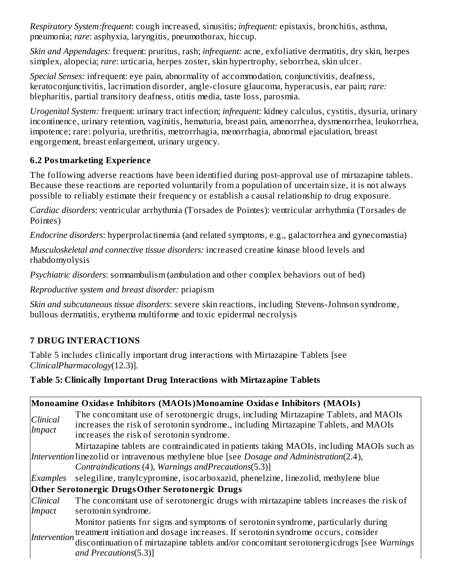*Respiratory System:frequent*: cough increased, sinusitis; *infrequent:* epistaxis, bronchitis, asthma, pneumonia; *rare*: asphyxia, laryngitis, pneumothorax, hiccup.

*Skin and Appendages:* frequent: pruritus, rash; *infrequent:* acne, exfoliative dermatitis, dry skin, herpes simplex, alopecia; *rare*: urticaria, herpes zoster, skin hypertrophy, seborrhea, skin ulcer.

*Special Senses:* infrequent: eye pain, abnormality of accommodation, conjunctivitis, deafness, keratoconjunctivitis, lacrimation disorder, angle-closure glaucoma, hyperacusis, ear pain; *rare:* blepharitis, partial transitory deafness, otitis media, taste loss, parosmia.

*Urogenital System:* frequent: urinary tract infection; *infrequent:* kidney calculus, cystitis, dysuria, urinary incontinence, urinary retention, vaginitis, hematuria, breast pain, amenorrhea, dysmenorrhea, leukorrhea, impotence; rare: polyuria, urethritis, metrorrhagia, menorrhagia, abnormal ejaculation, breast engorgement, breast enlargement, urinary urgency.

## **6.2 Postmarketing Experience**

The following adverse reactions have been identified during post-approval use of mirtazapine tablets. Because these reactions are reported voluntarily from a population of uncertain size, it is not always possible to reliably estimate their frequency or establish a causal relationship to drug exposure.

*Cardiac disorders*: ventricular arrhythmia (Torsades de Pointes): ventricular arrhythmia (Torsades de Pointes)

*Endocrine disorders*: hyperprolactinemia (and related symptoms, e.g., galactorrhea and gynecomastia)

*Musculoskeletal and connective tissue disorders:* increased creatine kinase blood levels and rhabdomyolysis

*Psychiatric disorders*: somnambulism (ambulation and other complex behaviors out of bed)

*Reproductive system and breast disorder:* priapism

*Skin and subcutaneous tissue disorders*: severe skin reactions, including Stevens-Johnson syndrome, bullous dermatitis, erythema multiforme and toxic epidermal necrolysis

# **7 DRUG INTERACTIONS**

Table 5 includes clinically important drug interactions with Mirtazapine Tablets [see *ClinicalPharmacology*(12.3)].

### **Table 5: Clinically Important Drug Interactions with Mirtazapine Tablets**

|                    | Monoamine Oxidase Inhibitors (MAOIs)Monoamine Oxidase Inhibitors (MAOIs)                                                                                                                                                                                                                      |  |  |  |
|--------------------|-----------------------------------------------------------------------------------------------------------------------------------------------------------------------------------------------------------------------------------------------------------------------------------------------|--|--|--|
| Clinical<br>Impact | The concomitant use of serotonergic drugs, including Mirtazapine Tablets, and MAOIs<br>increases the risk of serotonin syndrome., including Mirtazapine Tablets, and MAOIs<br>increases the risk of serotonin syndrome.                                                                       |  |  |  |
|                    | Mirtazapine tablets are contraindicated in patients taking MAOIs, including MAOIs such as<br>Intervention linezolid or intravenous methylene blue [see Dosage and Administration(2.4),<br>Contraindications (4), Warnings and Precautions (5.3)]                                              |  |  |  |
| Examples           | selegiline, tranylcypromine, isocarboxazid, phenelzine, linezolid, methylene blue                                                                                                                                                                                                             |  |  |  |
|                    | Other Serotonergic DrugsOther Serotonergic Drugs                                                                                                                                                                                                                                              |  |  |  |
| Clinical<br>Impact | The concomitant use of serotonergic drugs with mirtazapine tablets increases the risk of<br>serotonin syndrome.                                                                                                                                                                               |  |  |  |
| Intervention       | Monitor patients for signs and symptoms of serotonin syndrome, particularly during<br>treatment initiation and dosage increases. If serotonin syndrome occurs, consider<br>discontinuation of mirtazapine tablets and/or concomitant serotonergicdrugs [see Warnings<br>and Precautions(5.3)] |  |  |  |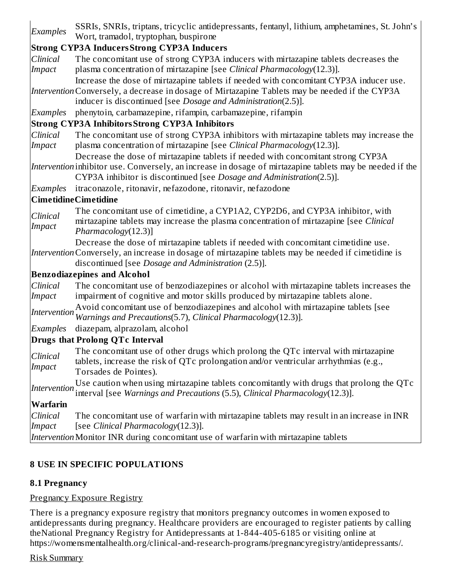| Examples                  | SSRIs, SNRIs, triptans, tricyclic antidepressants, fentanyl, lithium, amphetamines, St. John's<br>Wort, tramadol, tryptophan, buspirone                                                                                                                    |  |  |  |  |
|---------------------------|------------------------------------------------------------------------------------------------------------------------------------------------------------------------------------------------------------------------------------------------------------|--|--|--|--|
|                           | <b>Strong CYP3A Inducers Strong CYP3A Inducers</b>                                                                                                                                                                                                         |  |  |  |  |
| Clinical                  | The concomitant use of strong CYP3A inducers with mirtazapine tablets decreases the                                                                                                                                                                        |  |  |  |  |
| <b>Impact</b>             | plasma concentration of mirtazapine [see Clinical Pharmacology(12.3)].                                                                                                                                                                                     |  |  |  |  |
|                           | Increase the dose of mirtazapine tablets if needed with concomitant CYP3A inducer use.<br>Intervention Conversely, a decrease in dosage of Mirtazapine Tablets may be needed if the CYP3A<br>inducer is discontinued [see Dosage and Administration(2.5)]. |  |  |  |  |
| Examples                  | phenytoin, carbamazepine, rifampin, carbamazepine, rifampin                                                                                                                                                                                                |  |  |  |  |
|                           | <b>Strong CYP3A Inhibitors Strong CYP3A Inhibitors</b>                                                                                                                                                                                                     |  |  |  |  |
| Clinical                  | The concomitant use of strong CYP3A inhibitors with mirtazapine tablets may increase the                                                                                                                                                                   |  |  |  |  |
| <b>Impact</b>             | plasma concentration of mirtazapine [see Clinical Pharmacology(12.3)].                                                                                                                                                                                     |  |  |  |  |
|                           | Decrease the dose of mirtazapine tablets if needed with concomitant strong CYP3A                                                                                                                                                                           |  |  |  |  |
|                           | Intervention inhibitor use. Conversely, an increase in dosage of mirtazapine tablets may be needed if the<br>CYP3A inhibitor is discontinued [see Dosage and Administration(2.5)].                                                                         |  |  |  |  |
| <b>Examples</b>           | itraconazole, ritonavir, nefazodone, ritonavir, nefazodone                                                                                                                                                                                                 |  |  |  |  |
|                           | <b>CimetidineCimetidine</b>                                                                                                                                                                                                                                |  |  |  |  |
| Clinical<br><b>Impact</b> | The concomitant use of cimetidine, a CYP1A2, CYP2D6, and CYP3A inhibitor, with<br>mirtazapine tablets may increase the plasma concentration of mirtazapine [see Clinical<br>Pharmacology(12.3)]                                                            |  |  |  |  |
|                           | Decrease the dose of mirtazapine tablets if needed with concomitant cimetidine use.                                                                                                                                                                        |  |  |  |  |
|                           | Intervention Conversely, an increase in dosage of mirtazapine tablets may be needed if cimetidine is<br>discontinued [see Dosage and Administration (2.5)].                                                                                                |  |  |  |  |
|                           | <b>Benzodiazepines and Alcohol</b>                                                                                                                                                                                                                         |  |  |  |  |
| Clinical<br>Impact        | The concomitant use of benzodiazepines or alcohol with mirtazapine tablets increases the<br>impairment of cognitive and motor skills produced by mirtazapine tablets alone.                                                                                |  |  |  |  |
| Intervention              | Avoid concomitant use of benzodiazepines and alcohol with mirtazapine tablets [see<br>Warnings and Precautions(5.7), Clinical Pharmacology(12.3)].                                                                                                         |  |  |  |  |
| Examples                  | diazepam, alprazolam, alcohol                                                                                                                                                                                                                              |  |  |  |  |
|                           | <b>Drugs that Prolong QTc Interval</b>                                                                                                                                                                                                                     |  |  |  |  |
| Clinical<br>Impact        | The concomitant use of other drugs which prolong the QTc interval with mirtazapine<br>tablets, increase the risk of QTc prolongation and/or ventricular arrhythmias (e.g.,<br>Torsades de Pointes).                                                        |  |  |  |  |
| Intervention              | Use caution when using mirtazapine tablets concomitantly with drugs that prolong the QTc<br>interval [see Warnings and Precautions (5.5), Clinical Pharmacology(12.3)].                                                                                    |  |  |  |  |
| <b>Warfarin</b>           |                                                                                                                                                                                                                                                            |  |  |  |  |
| Clinical                  | The concomitant use of warfarin with mirtazapine tablets may result in an increase in INR                                                                                                                                                                  |  |  |  |  |
| <b>Impact</b>             | [see Clinical Pharmacology(12.3)].                                                                                                                                                                                                                         |  |  |  |  |
|                           | Intervention Monitor INR during concomitant use of warfarin with mirtazapine tablets                                                                                                                                                                       |  |  |  |  |

### **8 USE IN SPECIFIC POPULATIONS**

### **8.1 Pregnancy**

#### Pregnancy Exposure Registry

There is a pregnancy exposure registry that monitors pregnancy outcomes in women exposed to antidepressants during pregnancy. Healthcare providers are encouraged to register patients by calling theNational Pregnancy Registry for Antidepressants at 1-844-405-6185 or visiting online at https://womensmentalhealth.org/clinical-and-research-programs/pregnancyregistry/antidepressants/.

#### Risk Summary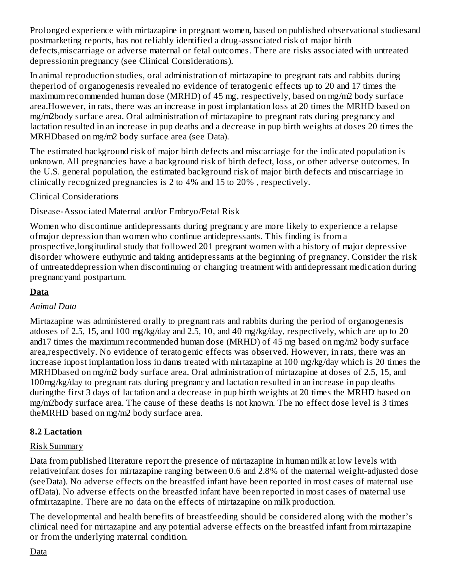Prolonged experience with mirtazapine in pregnant women, based on published observational studiesand postmarketing reports, has not reliably identified a drug-associated risk of major birth defects,miscarriage or adverse maternal or fetal outcomes. There are risks associated with untreated depressionin pregnancy (see Clinical Considerations).

In animal reproduction studies, oral administration of mirtazapine to pregnant rats and rabbits during theperiod of organogenesis revealed no evidence of teratogenic effects up to 20 and 17 times the maximum recommended human dose (MRHD) of 45 mg, respectively, based on mg/m2 body surface area.However, in rats, there was an increase in post implantation loss at 20 times the MRHD based on mg/m2body surface area. Oral administration of mirtazapine to pregnant rats during pregnancy and lactation resulted in an increase in pup deaths and a decrease in pup birth weights at doses 20 times the MRHDbased on mg/m2 body surface area (see Data).

The estimated background risk of major birth defects and miscarriage for the indicated population is unknown. All pregnancies have a background risk of birth defect, loss, or other adverse outcomes. In the U.S. general population, the estimated background risk of major birth defects and miscarriage in clinically recognized pregnancies is 2 to 4% and 15 to 20% , respectively.

Clinical Considerations

Disease-Associated Maternal and/or Embryo/Fetal Risk

Women who discontinue antidepressants during pregnancy are more likely to experience a relapse ofmajor depression than women who continue antidepressants. This finding is from a prospective,longitudinal study that followed 201 pregnant women with a history of major depressive disorder whowere euthymic and taking antidepressants at the beginning of pregnancy. Consider the risk of untreateddepression when discontinuing or changing treatment with antidepressant medication during pregnancyand postpartum.

### **Data**

### *Animal Data*

Mirtazapine was administered orally to pregnant rats and rabbits during the period of organogenesis atdoses of 2.5, 15, and 100 mg/kg/day and 2.5, 10, and 40 mg/kg/day, respectively, which are up to 20 and17 times the maximum recommended human dose (MRHD) of 45 mg based on mg/m2 body surface area,respectively. No evidence of teratogenic effects was observed. However, in rats, there was an increase inpost implantation loss in dams treated with mirtazapine at 100 mg/kg/day which is 20 times the MRHDbased on mg/m2 body surface area. Oral administration of mirtazapine at doses of 2.5, 15, and 100mg/kg/day to pregnant rats during pregnancy and lactation resulted in an increase in pup deaths duringthe first 3 days of lactation and a decrease in pup birth weights at 20 times the MRHD based on mg/m2body surface area. The cause of these deaths is not known. The no effect dose level is 3 times theMRHD based on mg/m2 body surface area.

### **8.2 Lactation**

#### Risk Summary

Data from published literature report the presence of mirtazapine in human milk at low levels with relativeinfant doses for mirtazapine ranging between 0.6 and 2.8% of the maternal weight-adjusted dose (seeData). No adverse effects on the breastfed infant have been reported in most cases of maternal use ofData). No adverse effects on the breastfed infant have been reported in most cases of maternal use ofmirtazapine. There are no data on the effects of mirtazapine on milk production.

The developmental and health benefits of breastfeeding should be considered along with the mother's clinical need for mirtazapine and any potential adverse effects on the breastfed infant from mirtazapine or from the underlying maternal condition.

Data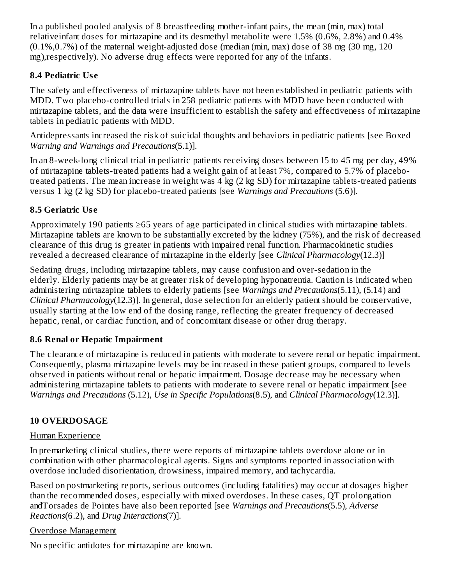In a published pooled analysis of 8 breastfeeding mother-infant pairs, the mean (min, max) total relativeinfant doses for mirtazapine and its desmethyl metabolite were 1.5% (0.6%, 2.8%) and 0.4%  $(0.1\%, 0.7\%)$  of the maternal weight-adjusted dose (median (min, max) dose of 38 mg (30 mg, 120 mg),respectively). No adverse drug effects were reported for any of the infants.

### **8.4 Pediatric Us e**

The safety and effectiveness of mirtazapine tablets have not been established in pediatric patients with MDD. Two placebo-controlled trials in 258 pediatric patients with MDD have been conducted with mirtazapine tablets, and the data were insufficient to establish the safety and effectiveness of mirtazapine tablets in pediatric patients with MDD.

Antidepressants increased the risk of suicidal thoughts and behaviors in pediatric patients [see Boxed *Warning and Warnings and Precautions*(5.1)].

In an 8-week-long clinical trial in pediatric patients receiving doses between 15 to 45 mg per day, 49% of mirtazapine tablets-treated patients had a weight gain of at least 7%, compared to 5.7% of placebotreated patients. The mean increase in weight was 4 kg (2 kg SD) for mirtazapine tablets-treated patients versus 1 kg (2 kg SD) for placebo-treated patients [see *Warnings and Precautions* (5.6)].

## **8.5 Geriatric Us e**

Approximately 190 patients ≥65 years of age participated in clinical studies with mirtazapine tablets. Mirtazapine tablets are known to be substantially excreted by the kidney (75%), and the risk of decreased clearance of this drug is greater in patients with impaired renal function. Pharmacokinetic studies revealed a decreased clearance of mirtazapine in the elderly [see *Clinical Pharmacology*(12.3)]

Sedating drugs, including mirtazapine tablets, may cause confusion and over-sedation in the elderly. Elderly patients may be at greater risk of developing hyponatremia. Caution is indicated when administering mirtazapine tablets to elderly patients [see *Warnings and Precautions*(5.11), (5.14) and *Clinical Pharmacology*(12.3)]. In general, dose selection for an elderly patient should be conservative, usually starting at the low end of the dosing range, reflecting the greater frequency of decreased hepatic, renal, or cardiac function, and of concomitant disease or other drug therapy.

## **8.6 Renal or Hepatic Impairment**

The clearance of mirtazapine is reduced in patients with moderate to severe renal or hepatic impairment. Consequently, plasma mirtazapine levels may be increased in these patient groups, compared to levels observed in patients without renal or hepatic impairment. Dosage decrease may be necessary when administering mirtazapine tablets to patients with moderate to severe renal or hepatic impairment [see *Warnings and Precautions* (5.12), *Use in Specific Populations*(8.5), and *Clinical Pharmacology*(12.3)].

## **10 OVERDOSAGE**

### Human Experience

In premarketing clinical studies, there were reports of mirtazapine tablets overdose alone or in combination with other pharmacological agents. Signs and symptoms reported in association with overdose included disorientation, drowsiness, impaired memory, and tachycardia.

Based on postmarketing reports, serious outcomes (including fatalities) may occur at dosages higher than the recommended doses, especially with mixed overdoses. In these cases, QT prolongation andTorsades de Pointes have also been reported [see *Warnings and Precautions*(5.5), *Adverse Reactions*(6.2), and *Drug Interactions*(7)].

### Overdose Management

No specific antidotes for mirtazapine are known.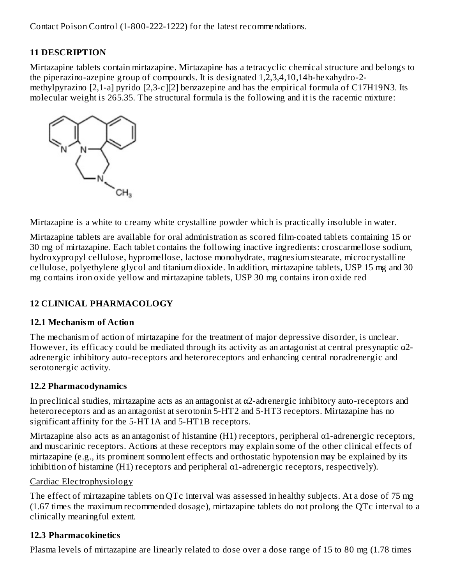Contact Poison Control (1-800-222-1222) for the latest recommendations.

### **11 DESCRIPTION**

Mirtazapine tablets contain mirtazapine. Mirtazapine has a tetracyclic chemical structure and belongs to the piperazino-azepine group of compounds. It is designated 1,2,3,4,10,14b-hexahydro-2 methylpyrazino [2,1-a] pyrido [2,3-c][2] benzazepine and has the empirical formula of C17H19N3. Its molecular weight is 265.35. The structural formula is the following and it is the racemic mixture:



Mirtazapine is a white to creamy white crystalline powder which is practically insoluble in water.

Mirtazapine tablets are available for oral administration as scored film-coated tablets containing 15 or 30 mg of mirtazapine. Each tablet contains the following inactive ingredients: croscarmellose sodium, hydroxypropyl cellulose, hypromellose, lactose monohydrate, magnesium stearate, microcrystalline cellulose, polyethylene glycol and titanium dioxide. In addition, mirtazapine tablets, USP 15 mg and 30 mg contains iron oxide yellow and mirtazapine tablets, USP 30 mg contains iron oxide red

## **12 CLINICAL PHARMACOLOGY**

### **12.1 Mechanism of Action**

The mechanism of action of mirtazapine for the treatment of major depressive disorder, is unclear. However, its efficacy could be mediated through its activity as an antagonist at central presynaptic  $\alpha$ 2adrenergic inhibitory auto-receptors and heteroreceptors and enhancing central noradrenergic and serotonergic activity.

### **12.2 Pharmacodynamics**

In preclinical studies, mirtazapine acts as an antagonist at α2-adrenergic inhibitory auto-receptors and heteroreceptors and as an antagonist at serotonin 5-HT2 and 5-HT3 receptors. Mirtazapine has no significant affinity for the 5-HT1A and 5-HT1B receptors.

Mirtazapine also acts as an antagonist of histamine (H1) receptors, peripheral α1-adrenergic receptors, and muscarinic receptors. Actions at these receptors may explain some of the other clinical effects of mirtazapine (e.g., its prominent somnolent effects and orthostatic hypotension may be explained by its inhibition of histamine (H1) receptors and peripheral  $\alpha$ 1-adrenergic receptors, respectively).

### Cardiac Electrophysiology

The effect of mirtazapine tablets on QTc interval was assessed in healthy subjects. At a dose of 75 mg (1.67 times the maximum recommended dosage), mirtazapine tablets do not prolong the QTc interval to a clinically meaningful extent.

### **12.3 Pharmacokinetics**

Plasma levels of mirtazapine are linearly related to dose over a dose range of 15 to 80 mg (1.78 times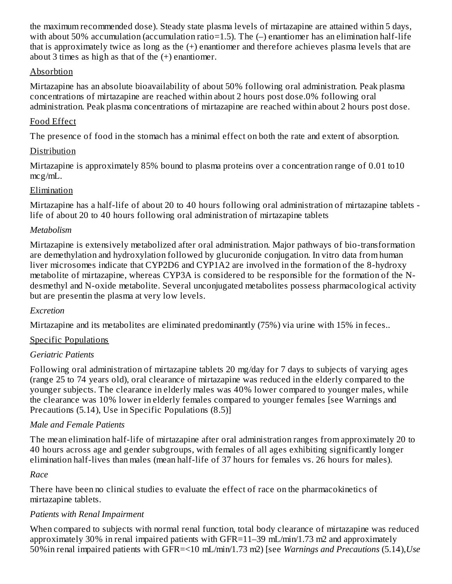the maximum recommended dose). Steady state plasma levels of mirtazapine are attained within 5 days, with about 50% accumulation (accumulation ratio=1.5). The (-) enantiomer has an elimination half-life that is approximately twice as long as the (+) enantiomer and therefore achieves plasma levels that are about 3 times as high as that of the (+) enantiomer.

### Absorbtion

Mirtazapine has an absolute bioavailability of about 50% following oral administration. Peak plasma concentrations of mirtazapine are reached within about 2 hours post dose.0% following oral administration. Peak plasma concentrations of mirtazapine are reached within about 2 hours post dose.

### Food Effect

The presence of food in the stomach has a minimal effect on both the rate and extent of absorption.

### Distribution

Mirtazapine is approximately 85% bound to plasma proteins over a concentration range of 0.01 to10 mcg/mL.

### Elimination

Mirtazapine has a half-life of about 20 to 40 hours following oral administration of mirtazapine tablets life of about 20 to 40 hours following oral administration of mirtazapine tablets

### *Metabolism*

Mirtazapine is extensively metabolized after oral administration. Major pathways of bio-transformation are demethylation and hydroxylation followed by glucuronide conjugation. In vitro data from human liver microsomes indicate that CYP2D6 and CYP1A2 are involved in the formation of the 8-hydroxy metabolite of mirtazapine, whereas CYP3A is considered to be responsible for the formation of the Ndesmethyl and N-oxide metabolite. Several unconjugated metabolites possess pharmacological activity but are presentin the plasma at very low levels.

#### *Excretion*

Mirtazapine and its metabolites are eliminated predominantly (75%) via urine with 15% in feces..

### Specific Populations

### *Geriatric Patients*

Following oral administration of mirtazapine tablets 20 mg/day for 7 days to subjects of varying ages (range 25 to 74 years old), oral clearance of mirtazapine was reduced in the elderly compared to the younger subjects. The clearance in elderly males was 40% lower compared to younger males, while the clearance was 10% lower in elderly females compared to younger females [see Warnings and Precautions (5.14), Use in Specific Populations (8.5)]

### *Male and Female Patients*

The mean elimination half-life of mirtazapine after oral administration ranges from approximately 20 to 40 hours across age and gender subgroups, with females of all ages exhibiting significantly longer elimination half-lives than males (mean half-life of 37 hours for females vs. 26 hours for males).

### *Race*

There have been no clinical studies to evaluate the effect of race on the pharmacokinetics of mirtazapine tablets.

### *Patients with Renal Impairment*

When compared to subjects with normal renal function, total body clearance of mirtazapine was reduced approximately 30% in renal impaired patients with GFR=11–39 mL/min/1.73 m2 and approximately 50%in renal impaired patients with GFR=<10 mL/min/1.73 m2) [see *Warnings and Precautions* (5.14),*Use*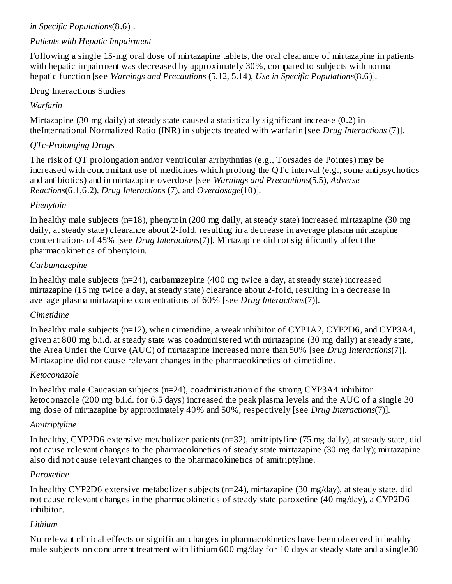### *in Specific Populations*(8.6)].

### *Patients with Hepatic Impairment*

Following a single 15-mg oral dose of mirtazapine tablets, the oral clearance of mirtazapine in patients with hepatic impairment was decreased by approximately 30%, compared to subjects with normal hepatic function [see *Warnings and Precautions* (5.12, 5.14), *Use in Specific Populations*(8.6)].

#### Drug Interactions Studies

### *Warfarin*

Mirtazapine (30 mg daily) at steady state caused a statistically significant increase (0.2) in theInternational Normalized Ratio (INR) in subjects treated with warfarin [see *Drug Interactions* (7)].

### *QTc-Prolonging Drugs*

The risk of QT prolongation and/or ventricular arrhythmias (e.g., Torsades de Pointes) may be increased with concomitant use of medicines which prolong the QTc interval (e.g., some antipsychotics and antibiotics) and in mirtazapine overdose [see *Warnings and Precautions*(5.5), *Adverse Reactions*(6.1,6.2), *Drug Interactions* (7), and *Overdosage*(10)].

#### *Phenytoin*

In healthy male subjects (n=18), phenytoin (200 mg daily, at steady state) increased mirtazapine (30 mg daily, at steady state) clearance about 2-fold, resulting in a decrease in average plasma mirtazapine concentrations of 45% [see *Drug Interactions*(7)]. Mirtazapine did not significantly affect the pharmacokinetics of phenytoin.

#### *Carbamazepine*

In healthy male subjects (n=24), carbamazepine (400 mg twice a day, at steady state) increased mirtazapine (15 mg twice a day, at steady state) clearance about 2-fold, resulting in a decrease in average plasma mirtazapine concentrations of 60% [see *Drug Interactions*(7)].

### *Cimetidine*

In healthy male subjects (n=12), when cimetidine, a weak inhibitor of CYP1A2, CYP2D6, and CYP3A4, given at 800 mg b.i.d. at steady state was coadministered with mirtazapine (30 mg daily) at steady state, the Area Under the Curve (AUC) of mirtazapine increased more than 50% [see *Drug Interactions*(7)]. Mirtazapine did not cause relevant changes in the pharmacokinetics of cimetidine.

#### *Ketoconazole*

In healthy male Caucasian subjects (n=24), coadministration of the strong CYP3A4 inhibitor ketoconazole (200 mg b.i.d. for 6.5 days) increased the peak plasma levels and the AUC of a single 30 mg dose of mirtazapine by approximately 40% and 50%, respectively [see *Drug Interactions*(7)].

### *Amitriptyline*

In healthy, CYP2D6 extensive metabolizer patients (n=32), amitriptyline (75 mg daily), at steady state, did not cause relevant changes to the pharmacokinetics of steady state mirtazapine (30 mg daily); mirtazapine also did not cause relevant changes to the pharmacokinetics of amitriptyline.

#### *Paroxetine*

In healthy CYP2D6 extensive metabolizer subjects (n=24), mirtazapine (30 mg/day), at steady state, did not cause relevant changes in the pharmacokinetics of steady state paroxetine (40 mg/day), a CYP2D6 inhibitor.

### *Lithium*

No relevant clinical effects or significant changes in pharmacokinetics have been observed in healthy male subjects on concurrent treatment with lithium 600 mg/day for 10 days at steady state and a single30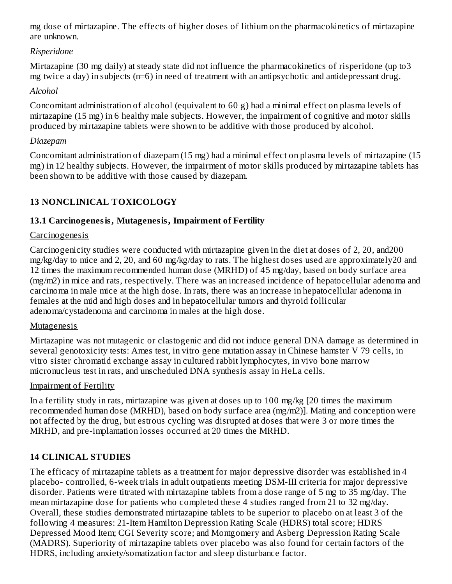mg dose of mirtazapine. The effects of higher doses of lithium on the pharmacokinetics of mirtazapine are unknown.

### *Risperidone*

Mirtazapine (30 mg daily) at steady state did not influence the pharmacokinetics of risperidone (up to3 mg twice a day) in subjects (n=6) in need of treatment with an antipsychotic and antidepressant drug.

### *Alcohol*

Concomitant administration of alcohol (equivalent to 60 g) had a minimal effect on plasma levels of mirtazapine (15 mg) in 6 healthy male subjects. However, the impairment of cognitive and motor skills produced by mirtazapine tablets were shown to be additive with those produced by alcohol.

### *Diazepam*

Concomitant administration of diazepam (15 mg) had a minimal effect on plasma levels of mirtazapine (15 mg) in 12 healthy subjects. However, the impairment of motor skills produced by mirtazapine tablets has been shown to be additive with those caused by diazepam.

## **13 NONCLINICAL TOXICOLOGY**

## **13.1 Carcinogenesis, Mutagenesis, Impairment of Fertility**

### **Carcinogenesis**

Carcinogenicity studies were conducted with mirtazapine given in the diet at doses of 2, 20, and200 mg/kg/day to mice and 2, 20, and 60 mg/kg/day to rats. The highest doses used are approximately20 and 12 times the maximum recommended human dose (MRHD) of 45 mg/day, based on body surface area (mg/m2) in mice and rats, respectively. There was an increased incidence of hepatocellular adenoma and carcinoma in male mice at the high dose. In rats, there was an increase in hepatocellular adenoma in females at the mid and high doses and in hepatocellular tumors and thyroid follicular adenoma/cystadenoma and carcinoma in males at the high dose.

### Mutagenesis

Mirtazapine was not mutagenic or clastogenic and did not induce general DNA damage as determined in several genotoxicity tests: Ames test, in vitro gene mutation assay in Chinese hamster V 79 cells, in vitro sister chromatid exchange assay in cultured rabbit lymphocytes, in vivo bone marrow micronucleus test in rats, and unscheduled DNA synthesis assay in HeLa cells.

### Impairment of Fertility

In a fertility study in rats, mirtazapine was given at doses up to 100 mg/kg [20 times the maximum recommended human dose (MRHD), based on body surface area (mg/m2)]. Mating and conception were not affected by the drug, but estrous cycling was disrupted at doses that were 3 or more times the MRHD, and pre-implantation losses occurred at 20 times the MRHD.

## **14 CLINICAL STUDIES**

The efficacy of mirtazapine tablets as a treatment for major depressive disorder was established in 4 placebo- controlled, 6-week trials in adult outpatients meeting DSM-III criteria for major depressive disorder. Patients were titrated with mirtazapine tablets from a dose range of 5 mg to 35 mg/day. The mean mirtazapine dose for patients who completed these 4 studies ranged from 21 to 32 mg/day. Overall, these studies demonstrated mirtazapine tablets to be superior to placebo on at least 3 of the following 4 measures: 21-Item Hamilton Depression Rating Scale (HDRS) total score; HDRS Depressed Mood Item; CGI Severity score; and Montgomery and Asberg Depression Rating Scale (MADRS). Superiority of mirtazapine tablets over placebo was also found for certain factors of the HDRS, including anxiety/somatization factor and sleep disturbance factor.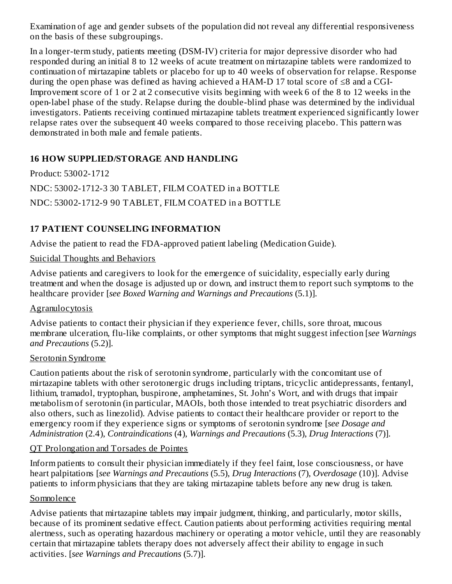Examination of age and gender subsets of the population did not reveal any differential responsiveness on the basis of these subgroupings.

In a longer-term study, patients meeting (DSM-IV) criteria for major depressive disorder who had responded during an initial 8 to 12 weeks of acute treatment on mirtazapine tablets were randomized to continuation of mirtazapine tablets or placebo for up to 40 weeks of observation for relapse. Response during the open phase was defined as having achieved a HAM-D 17 total score of ≤8 and a CGI-Improvement score of 1 or 2 at 2 consecutive visits beginning with week 6 of the 8 to 12 weeks in the open-label phase of the study. Relapse during the double-blind phase was determined by the individual investigators. Patients receiving continued mirtazapine tablets treatment experienced significantly lower relapse rates over the subsequent 40 weeks compared to those receiving placebo. This pattern was demonstrated in both male and female patients.

### **16 HOW SUPPLIED/STORAGE AND HANDLING**

Product: 53002-1712 NDC: 53002-1712-3 30 TABLET, FILM COATED in a BOTTLE NDC: 53002-1712-9 90 TABLET, FILM COATED in a BOTTLE

## **17 PATIENT COUNSELING INFORMATION**

Advise the patient to read the FDA-approved patient labeling (Medication Guide).

### Suicidal Thoughts and Behaviors

Advise patients and caregivers to look for the emergence of suicidality, especially early during treatment and when the dosage is adjusted up or down, and instruct them to report such symptoms to the healthcare provider [*see Boxed Warning and Warnings and Precautions* (5.1)].

### **Agranulocytosis**

Advise patients to contact their physician if they experience fever, chills, sore throat, mucous membrane ulceration, flu-like complaints, or other symptoms that might suggest infection [*see Warnings and Precautions* (5.2)].

### Serotonin Syndrome

Caution patients about the risk of serotonin syndrome, particularly with the concomitant use of mirtazapine tablets with other serotonergic drugs including triptans, tricyclic antidepressants, fentanyl, lithium, tramadol, tryptophan, buspirone, amphetamines, St. John's Wort, and with drugs that impair metabolism of serotonin (in particular, MAOIs, both those intended to treat psychiatric disorders and also others, such as linezolid). Advise patients to contact their healthcare provider or report to the emergency room if they experience signs or symptoms of serotonin syndrome [*see Dosage and Administration* (2.4), *Contraindications* (4), *Warnings and Precautions* (5.3), *Drug Interactions* (7)].

#### QT Prolongation and Torsades de Pointes

Inform patients to consult their physician immediately if they feel faint, lose consciousness, or have heart palpitations [*see Warnings and Precautions* (5.5), *Drug Interactions* (7), *Overdosage* (10)]. Advise patients to inform physicians that they are taking mirtazapine tablets before any new drug is taken.

### **Somnolence**

Advise patients that mirtazapine tablets may impair judgment, thinking, and particularly, motor skills, because of its prominent sedative effect. Caution patients about performing activities requiring mental alertness, such as operating hazardous machinery or operating a motor vehicle, until they are reasonably certain that mirtazapine tablets therapy does not adversely affect their ability to engage in such activities. [*see Warnings and Precautions* (5.7)].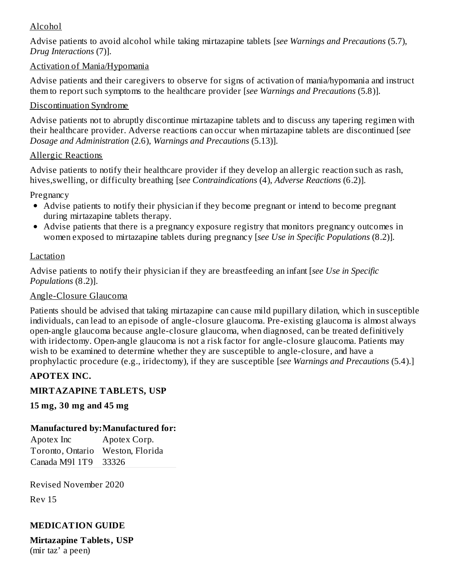### Alcohol

Advise patients to avoid alcohol while taking mirtazapine tablets [*see Warnings and Precautions* (5.7), *Drug Interactions* (7)].

#### Activation of Mania/Hypomania

Advise patients and their caregivers to observe for signs of activation of mania/hypomania and instruct them to report such symptoms to the healthcare provider [*see Warnings and Precautions* (5.8)].

#### Discontinuation Syndrome

Advise patients not to abruptly discontinue mirtazapine tablets and to discuss any tapering regimen with their healthcare provider. Adverse reactions can occur when mirtazapine tablets are discontinued [*see Dosage and Administration* (2.6), *Warnings and Precautions* (5.13)].

#### Allergic Reactions

Advise patients to notify their healthcare provider if they develop an allergic reaction such as rash, hives,swelling, or difficulty breathing [*see Contraindications* (4), *Adverse Reactions* (6.2)].

Pregnancy

- Advise patients to notify their physician if they become pregnant or intend to become pregnant during mirtazapine tablets therapy.
- Advise patients that there is a pregnancy exposure registry that monitors pregnancy outcomes in women exposed to mirtazapine tablets during pregnancy [*see Use in Specific Populations* (8.2)].

#### Lactation

Advise patients to notify their physician if they are breastfeeding an infant [*see Use in Specific Populations* (8.2)].

#### Angle-Closure Glaucoma

Patients should be advised that taking mirtazapine can cause mild pupillary dilation, which in susceptible individuals, can lead to an episode of angle-closure glaucoma. Pre-existing glaucoma is almost always open-angle glaucoma because angle-closure glaucoma, when diagnosed, can be treated definitively with iridectomy. Open-angle glaucoma is not a risk factor for angle-closure glaucoma. Patients may wish to be examined to determine whether they are susceptible to angle-closure, and have a prophylactic procedure (e.g., iridectomy), if they are susceptible [*see Warnings and Precautions* (5.4).]

#### **APOTEX INC.**

#### **MIRTAZAPINE TABLETS, USP**

#### **15 mg, 30 mg and 45 mg**

#### **Manufactured by:Manufactured for:**

Apotex Inc Apotex Corp. Toronto, Ontario Weston, Florida Canada M9l 1T9 33326

Revised November 2020

Rev 15

#### **MEDICATION GUIDE**

**Mirtazapine Tablets, USP** (mir taz' a peen)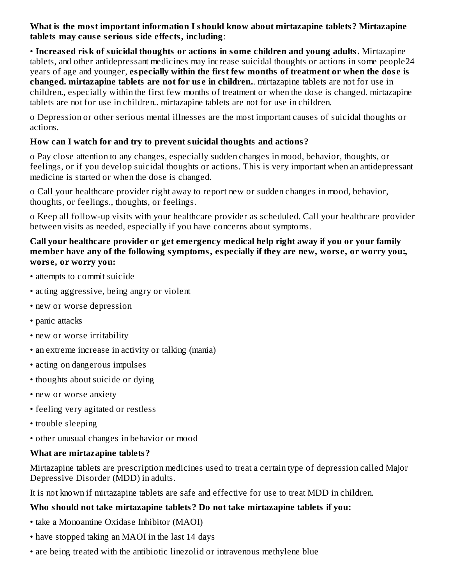**What is the most important information I should know about mirtazapine tablets? Mirtazapine tablets may caus e s erious side effects, including**:

• **Increas ed risk of suicidal thoughts or actions in some children and young adults.** Mirtazapine tablets, and other antidepressant medicines may increase suicidal thoughts or actions in some people24 years of age and younger, **especially within the first few months of treatment or when the dos e is changed. mirtazapine tablets are not for us e in children.**. mirtazapine tablets are not for use in children., especially within the first few months of treatment or when the dose is changed. mirtazapine tablets are not for use in children.. mirtazapine tablets are not for use in children.

o Depression or other serious mental illnesses are the most important causes of suicidal thoughts or actions.

### **How can I watch for and try to prevent suicidal thoughts and actions?**

o Pay close attention to any changes, especially sudden changes in mood, behavior, thoughts, or feelings, or if you develop suicidal thoughts or actions. This is very important when an antidepressant medicine is started or when the dose is changed.

o Call your healthcare provider right away to report new or sudden changes in mood, behavior, thoughts, or feelings., thoughts, or feelings.

o Keep all follow-up visits with your healthcare provider as scheduled. Call your healthcare provider between visits as needed, especially if you have concerns about symptoms.

#### **Call your healthcare provider or get emergency medical help right away if you or your family member have any of the following symptoms, especially if they are new, wors e, or worry you:, wors e, or worry you:**

- attempts to commit suicide
- acting aggressive, being angry or violent
- new or worse depression
- panic attacks
- new or worse irritability
- an extreme increase in activity or talking (mania)
- acting on dangerous impulses
- thoughts about suicide or dying
- new or worse anxiety
- feeling very agitated or restless
- trouble sleeping
- other unusual changes in behavior or mood

#### **What are mirtazapine tablets?**

Mirtazapine tablets are prescription medicines used to treat a certain type of depression called Major Depressive Disorder (MDD) in adults.

It is not known if mirtazapine tablets are safe and effective for use to treat MDD in children.

#### **Who should not take mirtazapine tablets? Do not take mirtazapine tablets if you:**

- take a Monoamine Oxidase Inhibitor (MAOI)
- have stopped taking an MAOI in the last 14 days
- are being treated with the antibiotic linezolid or intravenous methylene blue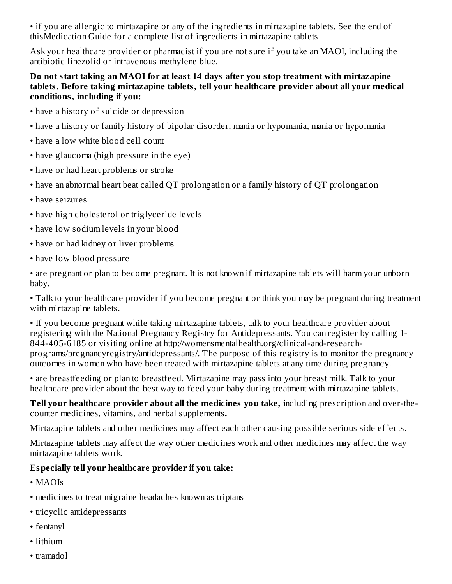• if you are allergic to mirtazapine or any of the ingredients in mirtazapine tablets. See the end of thisMedication Guide for a complete list of ingredients in mirtazapine tablets

Ask your healthcare provider or pharmacist if you are not sure if you take an MAOI, including the antibiotic linezolid or intravenous methylene blue.

#### **Do not start taking an MAOI for at least 14 days after you stop treatment with mirtazapine tablets. Before taking mirtazapine tablets, tell your healthcare provider about all your medical conditions, including if you:**

- have a history of suicide or depression
- have a history or family history of bipolar disorder, mania or hypomania, mania or hypomania
- have a low white blood cell count
- have glaucoma (high pressure in the eye)
- have or had heart problems or stroke
- have an abnormal heart beat called QT prolongation or a family history of QT prolongation
- have seizures
- have high cholesterol or triglyceride levels
- have low sodium levels in your blood
- have or had kidney or liver problems
- have low blood pressure

• are pregnant or plan to become pregnant. It is not known if mirtazapine tablets will harm your unborn baby.

• Talk to your healthcare provider if you become pregnant or think you may be pregnant during treatment with mirtazapine tablets.

• If you become pregnant while taking mirtazapine tablets, talk to your healthcare provider about registering with the National Pregnancy Registry for Antidepressants. You can register by calling 1- 844-405-6185 or visiting online at http://womensmentalhealth.org/clinical-and-researchprograms/pregnancyregistry/antidepressants/. The purpose of this registry is to monitor the pregnancy outcomes in women who have been treated with mirtazapine tablets at any time during pregnancy.

• are breastfeeding or plan to breastfeed. Mirtazapine may pass into your breast milk. Talk to your healthcare provider about the best way to feed your baby during treatment with mirtazapine tablets.

**Tell your healthcare provider about all the medicines you take, i**ncluding prescription and over-thecounter medicines, vitamins, and herbal supplements**.**

Mirtazapine tablets and other medicines may affect each other causing possible serious side effects.

Mirtazapine tablets may affect the way other medicines work and other medicines may affect the way mirtazapine tablets work.

## **Especially tell your healthcare provider if you take:**

- MAOIs
- medicines to treat migraine headaches known as triptans
- tricyclic antidepressants
- fentanyl
- lithium
- tramadol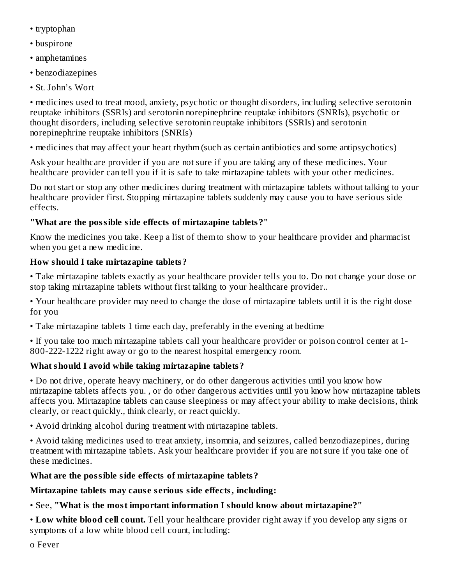- tryptophan
- buspirone
- amphetamines
- benzodiazepines
- St. John's Wort

• medicines used to treat mood, anxiety, psychotic or thought disorders, including selective serotonin reuptake inhibitors (SSRIs) and serotonin norepinephrine reuptake inhibitors (SNRIs), psychotic or thought disorders, including selective serotonin reuptake inhibitors (SSRIs) and serotonin norepinephrine reuptake inhibitors (SNRIs)

• medicines that may affect your heart rhythm (such as certain antibiotics and some antipsychotics)

Ask your healthcare provider if you are not sure if you are taking any of these medicines. Your healthcare provider can tell you if it is safe to take mirtazapine tablets with your other medicines.

Do not start or stop any other medicines during treatment with mirtazapine tablets without talking to your healthcare provider first. Stopping mirtazapine tablets suddenly may cause you to have serious side effects.

## **"What are the possible side effects of mirtazapine tablets?"**

Know the medicines you take. Keep a list of them to show to your healthcare provider and pharmacist when you get a new medicine.

## **How should I take mirtazapine tablets?**

• Take mirtazapine tablets exactly as your healthcare provider tells you to. Do not change your dose or stop taking mirtazapine tablets without first talking to your healthcare provider..

• Your healthcare provider may need to change the dose of mirtazapine tablets until it is the right dose for you

• Take mirtazapine tablets 1 time each day, preferably in the evening at bedtime

• If you take too much mirtazapine tablets call your healthcare provider or poison control center at 1- 800-222-1222 right away or go to the nearest hospital emergency room.

## **What should I avoid while taking mirtazapine tablets?**

• Do not drive, operate heavy machinery, or do other dangerous activities until you know how mirtazapine tablets affects you. , or do other dangerous activities until you know how mirtazapine tablets affects you. Mirtazapine tablets can cause sleepiness or may affect your ability to make decisions, think clearly, or react quickly., think clearly, or react quickly.

• Avoid drinking alcohol during treatment with mirtazapine tablets.

• Avoid taking medicines used to treat anxiety, insomnia, and seizures, called benzodiazepines, during treatment with mirtazapine tablets. Ask your healthcare provider if you are not sure if you take one of these medicines.

## **What are the possible side effects of mirtazapine tablets?**

## **Mirtazapine tablets may caus e s erious side effects, including:**

• See, **"What is the most important information I should know about mirtazapine?"**

• **Low white blood cell count.** Tell your healthcare provider right away if you develop any signs or symptoms of a low white blood cell count, including:

ο Fever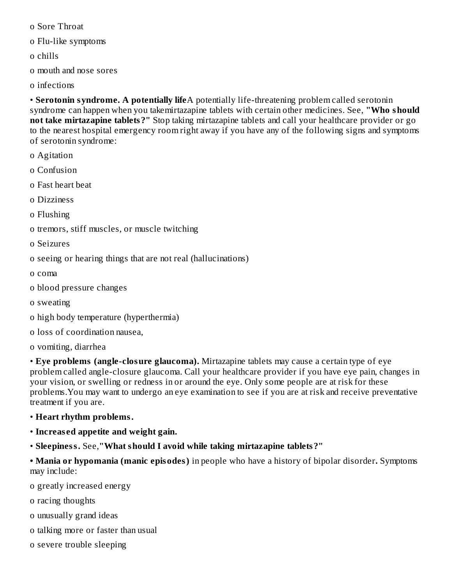ο Sore Throat

ο Flu-like symptoms

ο chills

ο mouth and nose sores

ο infections

• **Serotonin syndrome. A potentially life**A potentially life-threatening problem called serotonin syndrome can happen when you takemirtazapine tablets with certain other medicines. See, **"Who should not take mirtazapine tablets?"** Stop taking mirtazapine tablets and call your healthcare provider or go to the nearest hospital emergency room right away if you have any of the following signs and symptoms of serotonin syndrome:

- ο Agitation
- ο Confusion
- ο Fast heart beat
- ο Dizziness

ο Flushing

ο tremors, stiff muscles, or muscle twitching

ο Seizures

ο seeing or hearing things that are not real (hallucinations)

ο coma

ο blood pressure changes

ο sweating

- ο high body temperature (hyperthermia)
- ο loss of coordination nausea,
- ο vomiting, diarrhea

• **Eye problems (angle-closure glaucoma).** Mirtazapine tablets may cause a certain type of eye problem called angle-closure glaucoma. Call your healthcare provider if you have eye pain, changes in your vision, or swelling or redness in or around the eye. Only some people are at risk for these problems.You may want to undergo an eye examination to see if you are at risk and receive preventative treatment if you are.

- **Heart rhythm problems.**
- **Increas ed appetite and weight gain.**
- **Sleepiness.** See,**"What should I avoid while taking mirtazapine tablets?"**

**• Mania or hypomania (manic episodes)** in people who have a history of bipolar disorder**.** Symptoms may include:

ο greatly increased energy

ο racing thoughts

ο unusually grand ideas

- ο talking more or faster than usual
- ο severe trouble sleeping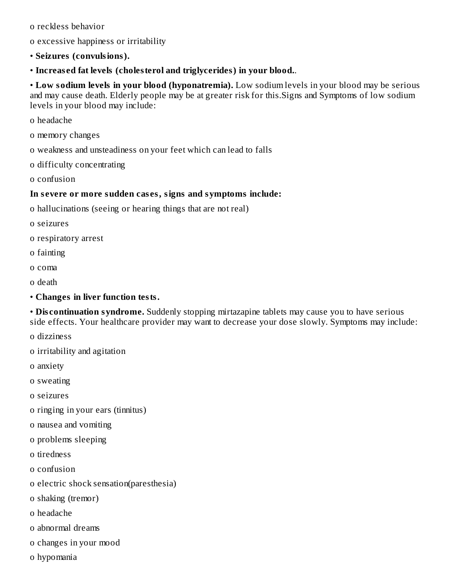ο reckless behavior

- ο excessive happiness or irritability
- **Seizures (convulsions).**
- **Increas ed fat levels (cholesterol and triglycerides) in your blood.**.

• **Low sodium levels in your blood (hyponatremia).** Low sodium levels in your blood may be serious and may cause death. Elderly people may be at greater risk for this.Signs and Symptoms of low sodium levels in your blood may include:

ο headache

- ο memory changes
- ο weakness and unsteadiness on your feet which can lead to falls
- ο difficulty concentrating
- ο confusion

#### **In s evere or more sudden cas es, signs and symptoms include:**

- ο hallucinations (seeing or hearing things that are not real)
- ο seizures
- ο respiratory arrest
- ο fainting
- ο coma
- ο death
- **Changes in liver function tests.**

• **Dis continuation syndrome.** Suddenly stopping mirtazapine tablets may cause you to have serious side effects. Your healthcare provider may want to decrease your dose slowly. Symptoms may include:

ο dizziness

- ο irritability and agitation
- ο anxiety
- ο sweating
- ο seizures
- ο ringing in your ears (tinnitus)
- ο nausea and vomiting
- ο problems sleeping
- ο tiredness
- ο confusion
- ο electric shock sensation(paresthesia)
- ο shaking (tremor)
- ο headache
- ο abnormal dreams
- ο changes in your mood
- ο hypomania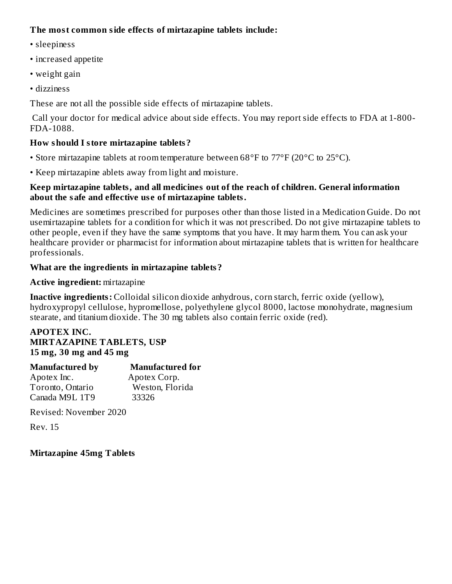#### **The most common side effects of mirtazapine tablets include:**

- sleepiness
- increased appetite
- weight gain
- dizziness

These are not all the possible side effects of mirtazapine tablets.

Call your doctor for medical advice about side effects. You may report side effects to FDA at 1-800- FDA-1088.

#### **How should I store mirtazapine tablets?**

- Store mirtazapine tablets at room temperature between 68°F to 77°F (20°C to 25°C).
- Keep mirtazapine ablets away from light and moisture.

#### **Keep mirtazapine tablets, and all medicines out of the reach of children. General information about the safe and effective us e of mirtazapine tablets.**

Medicines are sometimes prescribed for purposes other than those listed in a Medication Guide. Do not usemirtazapine tablets for a condition for which it was not prescribed. Do not give mirtazapine tablets to other people, even if they have the same symptoms that you have. It may harm them. You can ask your healthcare provider or pharmacist for information about mirtazapine tablets that is written for healthcare professionals.

#### **What are the ingredients in mirtazapine tablets?**

#### **Active ingredient:** mirtazapine

**Inactive ingredients:** Colloidal silicon dioxide anhydrous, corn starch, ferric oxide (yellow), hydroxypropyl cellulose, hypromellose, polyethylene glycol 8000, lactose monohydrate, magnesium stearate, and titanium dioxide. The 30 mg tablets also contain ferric oxide (red).

#### **APOTEX INC. MIRTAZAPINE TABLETS, USP 15 mg, 30 mg and 45 mg**

| <b>Manufactured by</b> | <b>Manufactured for</b> |
|------------------------|-------------------------|
| Apotex Inc.            | Apotex Corp.            |
| Toronto, Ontario       | Weston, Florida         |
| Canada M9L 1T9         | 33326                   |

Revised: November 2020

Rev. 15

#### **Mirtazapine 45mg Tablets**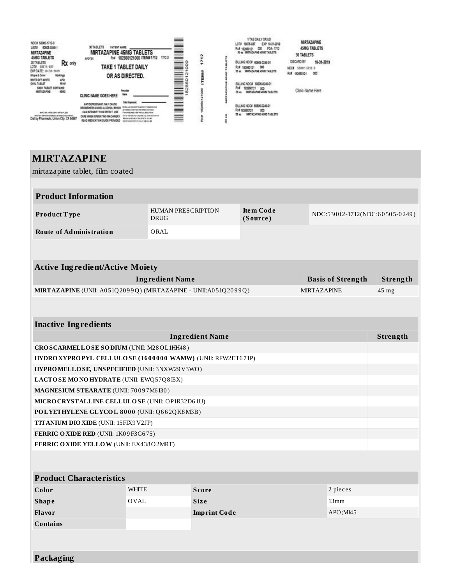| NDC# 53002-1712-3<br>60505-0349-1<br><b>LISTA</b><br>MRTAZAPINE<br>45MG TABLETS                        | 30 TABLETS<br><b>PATIENT NAME</b><br><b>MIRTAZAPINE 45MG TABLETS</b><br>1712-3<br>Rx# 182860121000 ITEM#1712<br>APOTEX                                             | $\sim$<br>헢<br>÷,                            | 1 TAB CALY OR UD<br>EXP 10-21-2019<br>L©≣#<br>18075-017<br>FDA 1712<br>Rx# 10360121<br>000<br>30 41 IMRTAZAPINE 45HG TABLETS | MIRTAZAPINE<br><b>45MG TABLETS</b><br>30 TABLETS          |
|--------------------------------------------------------------------------------------------------------|--------------------------------------------------------------------------------------------------------------------------------------------------------------------|----------------------------------------------|------------------------------------------------------------------------------------------------------------------------------|-----------------------------------------------------------|
| Rx only<br>30 TABLETS<br>LOTA 18015-037                                                                | TAKE 1 TABLET DAILY                                                                                                                                                | j<br>×.                                      | BLUNG NOCK 60605-0346-01<br>Rx#<br>000<br>100908121                                                                          | DISCARD BY<br>10-31-2019                                  |
| EXP DATE: 10-31-2019<br>Shape & Color<br>Markings                                                      | OR AS DIRECTED.                                                                                                                                                    |                                              | MATAZAPNE 49KG TABLETE<br>30 kg                                                                                              | 53002-3712-3<br>NDCA-<br>Rul 1<br><b>COO</b><br>102060121 |
| <b>WATEOFF-WATE</b><br>AFO.<br>M45<br>OVAL TABLET<br><b>BACH TABLET CONTAINS:</b><br>MATAZAPNE<br>4580 | hactive<br>liane<br>CLINIC NAME GOES HERE                                                                                                                          | P<br>$\overline{\phantom{a}}$<br>È<br>옆<br>ŝ | BILLING NDC# 60505-0345-01<br>陶波<br>m<br>MATAZAPINE 48MG TABLETS<br>30 46                                                    | Clinic Name Here                                          |
| MARTINEZ LARTEN COMT. NEETHA FLOOR<br>Dist by Pharmedix, Union City, CA 94987                          | ANTIQUIPRESSANT, MAY CAUSE<br>DROWBINESS-AVOID AL DOHOL MINICH<br>CAN INTENSIVY THIS EFFECT, USE<br>CARE WHEN OPERATING MACHINERY<br>READ MEDICATION DUDE PROVIDED | $-1$                                         | BILLING NOCK 60606-0249-01<br>Rx# 10360121<br>œ<br>MARTAZAPINE 45MG TABLETS<br>30 kg                                         |                                                           |

# **MIRTAZAPINE** mirtazapine tablet, film coated **Product Information Product T ype** HUMAN PRESCRIPTION DRUG **Ite m Code (Source )** NDC:530 0 2-1712(NDC:6 0 50 5-0 249 ) **Route of Administration** ORAL **Active Ingredient/Active Moiety Ingredient Name Basis of Strength Strength MIRTAZAPINE** (UNII: A051Q2099Q) (MIRTAZAPINE - UNII:A051Q2099Q) MIRTAZAPINE 45 mg **Inactive Ingredients Ingredient Name Strength CROSCARMELLOSE SODIUM** (UNII: M28OL1HH48 ) **HYDROXYPROPYL CELLULOSE ( 16 0 0 0 0 0 WAMW)** (UNII: RFW2ET6 71P) **HYPROMELLOSE, UNSPECIFIED** (UNII: 3NXW29V3WO) **LACTOSE MONOHYDRATE** (UNII: EWQ57Q8 I5X) **MAGNESIUM STEARATE** (UNII: 70 0 9 7M6 I30 ) **MICROCRYSTALLINE CELLULOSE** (UNII: OP1R32D6 1U) **POLYETHYLENE GLYCOL 8 0 0 0** (UNII: Q6 6 2QK8M3B) **TITANIUM DIOXIDE** (UNII: 15FIX9V2JP) **FERRIC OXIDE RED** (UNII: 1K0 9 F3G6 75) **FERRIC OXIDE YELLOW** (UNII: EX438O2MRT) **Product Characteristics Color** WHITE **Score** 2 pieces **Shape** OVAL **Siz e** 13mm **Flavor Imprint Code** APO;MI45 **Contains**

**Packaging**